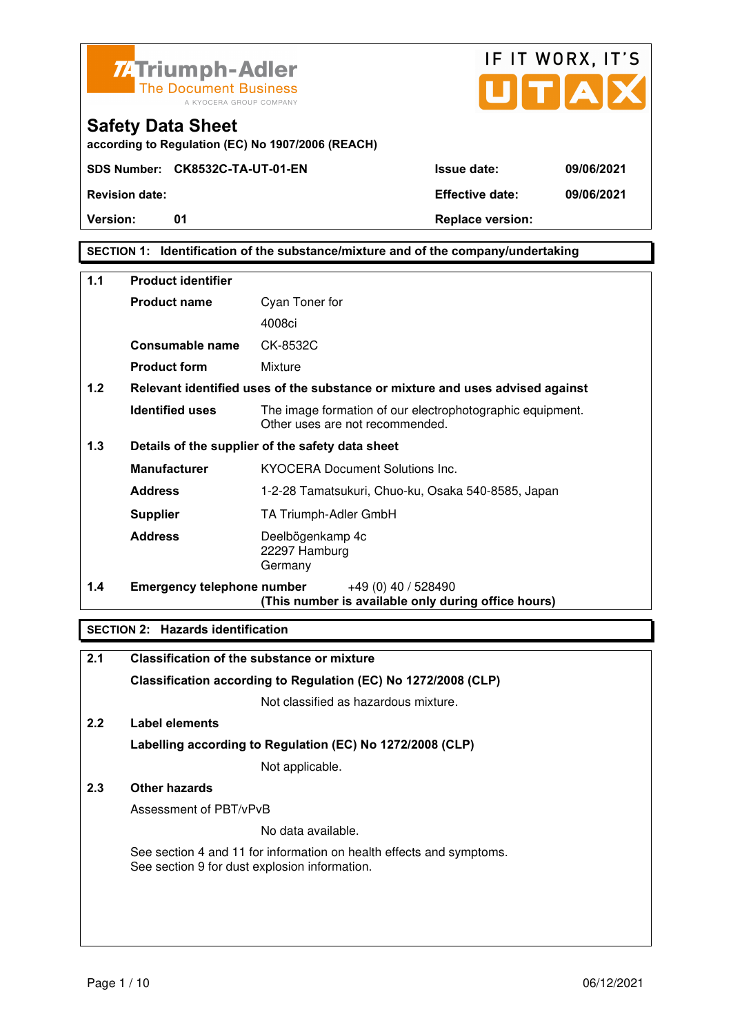



**according to Regulation (EC) No 1907/2006 (REACH)**

**Version:** 01 01 Replace version:

**SECTION 1: Identification of the substance/mixture and of the company/undertaking** 

| 1.1              | <b>Product identifier</b>         |                                                                                              |  |  |
|------------------|-----------------------------------|----------------------------------------------------------------------------------------------|--|--|
|                  | <b>Product name</b>               | Cyan Toner for                                                                               |  |  |
|                  |                                   | 4008ci                                                                                       |  |  |
|                  | Consumable name                   | CK-8532C                                                                                     |  |  |
|                  | <b>Product form</b>               | Mixture                                                                                      |  |  |
| 1.2 <sub>2</sub> |                                   | Relevant identified uses of the substance or mixture and uses advised against                |  |  |
|                  | <b>Identified uses</b>            | The image formation of our electrophotographic equipment.<br>Other uses are not recommended. |  |  |
| 1.3              |                                   | Details of the supplier of the safety data sheet                                             |  |  |
|                  | <b>Manufacturer</b>               | <b>KYOCERA Document Solutions Inc.</b>                                                       |  |  |
|                  | <b>Address</b>                    | 1-2-28 Tamatsukuri, Chuo-ku, Osaka 540-8585, Japan                                           |  |  |
|                  | <b>Supplier</b>                   | TA Triumph-Adler GmbH                                                                        |  |  |
|                  | <b>Address</b>                    | Deelbögenkamp 4c<br>22297 Hamburg<br>Germany                                                 |  |  |
| 1.4              | <b>Emergency telephone number</b> | $+49(0)$ 40 / 528490<br>(This number is available only during office hours)                  |  |  |

### **SECTION 2: Hazards identification**

| 2.1 | <b>Classification of the substance or mixture</b>                                                                     |  |  |
|-----|-----------------------------------------------------------------------------------------------------------------------|--|--|
|     | Classification according to Regulation (EC) No 1272/2008 (CLP)                                                        |  |  |
|     | Not classified as hazardous mixture.                                                                                  |  |  |
| 2.2 | Label elements                                                                                                        |  |  |
|     | Labelling according to Regulation (EC) No 1272/2008 (CLP)                                                             |  |  |
|     | Not applicable.                                                                                                       |  |  |
| 2.3 | Other hazards                                                                                                         |  |  |
|     | Assessment of PBT/vPvB                                                                                                |  |  |
|     | No data available.                                                                                                    |  |  |
|     | See section 4 and 11 for information on health effects and symptoms.<br>See section 9 for dust explosion information. |  |  |
|     |                                                                                                                       |  |  |
|     |                                                                                                                       |  |  |
|     |                                                                                                                       |  |  |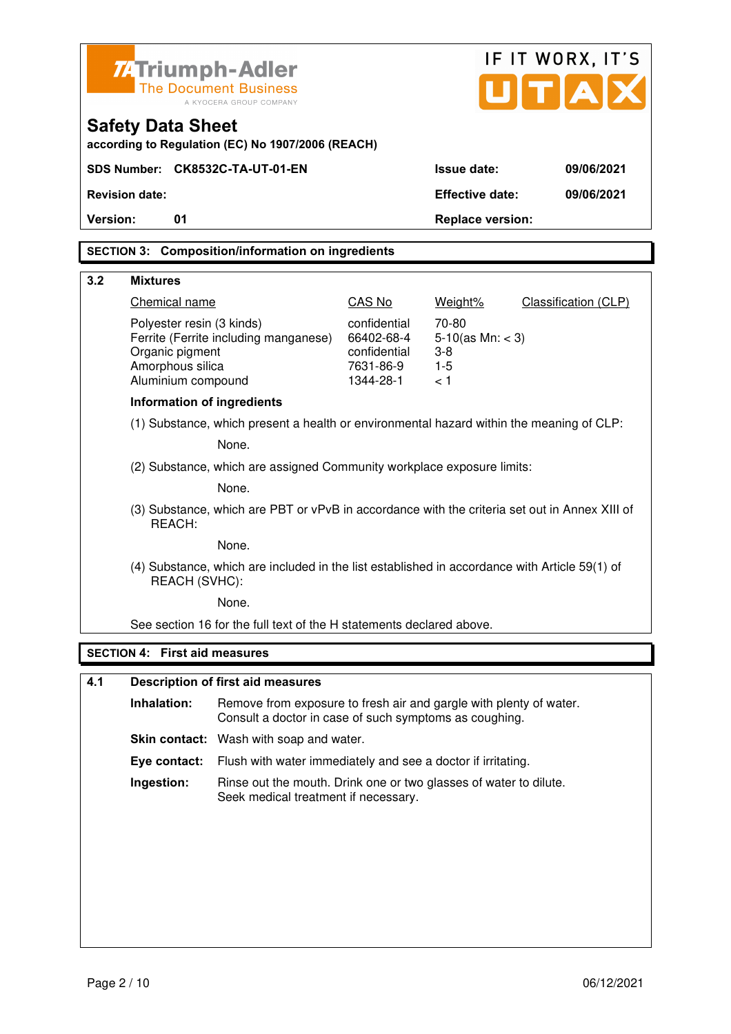| <b>ZATriumph-Adler</b>                                  |                                                                                                         |                                                                                                                              |                            | IF IT WORX, IT'S               |                      |  |
|---------------------------------------------------------|---------------------------------------------------------------------------------------------------------|------------------------------------------------------------------------------------------------------------------------------|----------------------------|--------------------------------|----------------------|--|
| <b>The Document Business</b><br>A KYOCERA GROUP COMPANY |                                                                                                         |                                                                                                                              |                            | U[T A]                         |                      |  |
|                                                         | <b>Safety Data Sheet</b>                                                                                |                                                                                                                              |                            |                                |                      |  |
|                                                         |                                                                                                         | according to Regulation (EC) No 1907/2006 (REACH)                                                                            |                            |                                |                      |  |
|                                                         |                                                                                                         | SDS Number: CK8532C-TA-UT-01-EN                                                                                              |                            | <b>Issue date:</b>             | 09/06/2021           |  |
|                                                         | <b>Revision date:</b>                                                                                   |                                                                                                                              |                            | <b>Effective date:</b>         | 09/06/2021           |  |
| Version:                                                | 01                                                                                                      |                                                                                                                              |                            | <b>Replace version:</b>        |                      |  |
|                                                         |                                                                                                         | <b>SECTION 3: Composition/information on ingredients</b>                                                                     |                            |                                |                      |  |
| 3.2                                                     | <b>Mixtures</b>                                                                                         |                                                                                                                              |                            |                                |                      |  |
|                                                         | Chemical name                                                                                           |                                                                                                                              | CAS No                     | Weight%                        | Classification (CLP) |  |
|                                                         | Polyester resin (3 kinds)                                                                               |                                                                                                                              | confidential               | 70-80                          |                      |  |
|                                                         | Organic pigment                                                                                         | Ferrite (Ferrite including manganese)                                                                                        | 66402-68-4<br>confidential | $5-10$ (as Mn: < 3)<br>$3 - 8$ |                      |  |
|                                                         | Amorphous silica                                                                                        |                                                                                                                              | 7631-86-9                  | $1 - 5$                        |                      |  |
|                                                         | Aluminium compound                                                                                      |                                                                                                                              | 1344-28-1                  | < 1                            |                      |  |
|                                                         | <b>Information of ingredients</b>                                                                       |                                                                                                                              |                            |                                |                      |  |
|                                                         | (1) Substance, which present a health or environmental hazard within the meaning of CLP:                |                                                                                                                              |                            |                                |                      |  |
|                                                         | None.                                                                                                   |                                                                                                                              |                            |                                |                      |  |
|                                                         |                                                                                                         | (2) Substance, which are assigned Community workplace exposure limits:                                                       |                            |                                |                      |  |
|                                                         |                                                                                                         | None.                                                                                                                        |                            |                                |                      |  |
|                                                         | (3) Substance, which are PBT or vPvB in accordance with the criteria set out in Annex XIII of<br>REACH: |                                                                                                                              |                            |                                |                      |  |
|                                                         |                                                                                                         | None.                                                                                                                        |                            |                                |                      |  |
|                                                         | REACH (SVHC):                                                                                           | (4) Substance, which are included in the list established in accordance with Article 59(1) of                                |                            |                                |                      |  |
|                                                         |                                                                                                         | None.                                                                                                                        |                            |                                |                      |  |
|                                                         |                                                                                                         | See section 16 for the full text of the H statements declared above.                                                         |                            |                                |                      |  |
|                                                         | <b>SECTION 4: First aid measures</b>                                                                    |                                                                                                                              |                            |                                |                      |  |
| 4.1                                                     |                                                                                                         | <b>Description of first aid measures</b>                                                                                     |                            |                                |                      |  |
|                                                         |                                                                                                         |                                                                                                                              |                            |                                |                      |  |
|                                                         | Inhalation:                                                                                             | Remove from exposure to fresh air and gargle with plenty of water.<br>Consult a doctor in case of such symptoms as coughing. |                            |                                |                      |  |
|                                                         |                                                                                                         | <b>Skin contact:</b> Wash with soap and water.                                                                               |                            |                                |                      |  |
|                                                         | Eye contact:                                                                                            | Flush with water immediately and see a doctor if irritating.                                                                 |                            |                                |                      |  |

 **Ingestion:** Rinse out the mouth. Drink one or two glasses of water to dilute. Seek medical treatment if necessary.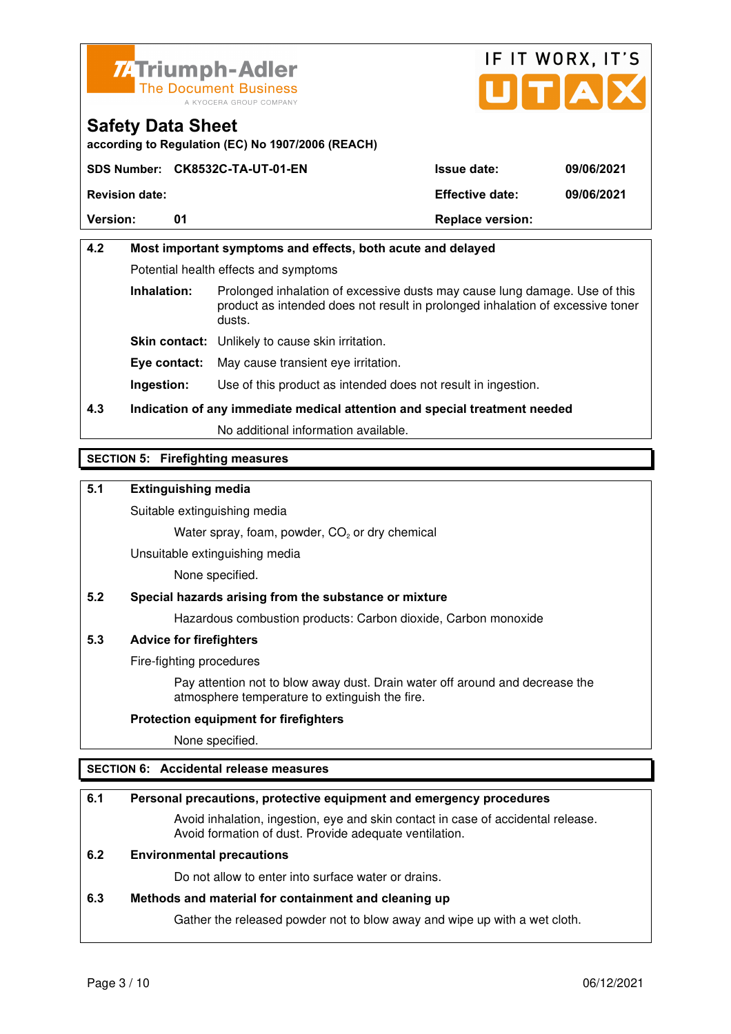



**according to Regulation (EC) No 1907/2006 (REACH)**

|                       | SDS Number: CK8532C-TA-UT-01-EN | <b>Issue date:</b>      | 09/06/2021 |
|-----------------------|---------------------------------|-------------------------|------------|
| <b>Revision date:</b> |                                 | <b>Effective date:</b>  | 09/06/2021 |
| <b>Version:</b>       | 01                              | <b>Replace version:</b> |            |

# **4.2 Most important symptoms and effects, both acute and delayed**  Potential health effects and symptoms **Inhalation:** Prolonged inhalation of excessive dusts may cause lung damage. Use of this product as intended does not result in prolonged inhalation of excessive toner dusts. **Skin contact:** Unlikely to cause skin irritation. **Eye contact:** May cause transient eye irritation.

**Ingestion:** Use of this product as intended does not result in ingestion.

# **4.3 Indication of any immediate medical attention and special treatment needed**

No additional information available.

### **SECTION 5: Firefighting measures**

#### **5.1 Extinguishing media**

Suitable extinguishing media

Water spray, foam, powder,  $CO<sub>2</sub>$  or dry chemical

Unsuitable extinguishing media

None specified.

### **5.2 Special hazards arising from the substance or mixture**

Hazardous combustion products: Carbon dioxide, Carbon monoxide

#### **5.3 Advice for firefighters**

Fire-fighting procedures

 Pay attention not to blow away dust. Drain water off around and decrease the atmosphere temperature to extinguish the fire.

#### **Protection equipment for firefighters**

None specified.

#### **SECTION 6: Accidental release measures**

### **6.1 Personal precautions, protective equipment and emergency procedures**

 Avoid inhalation, ingestion, eye and skin contact in case of accidental release. Avoid formation of dust. Provide adequate ventilation.

#### **6.2 Environmental precautions**

Do not allow to enter into surface water or drains.

#### **6.3 Methods and material for containment and cleaning up**

Gather the released powder not to blow away and wipe up with a wet cloth.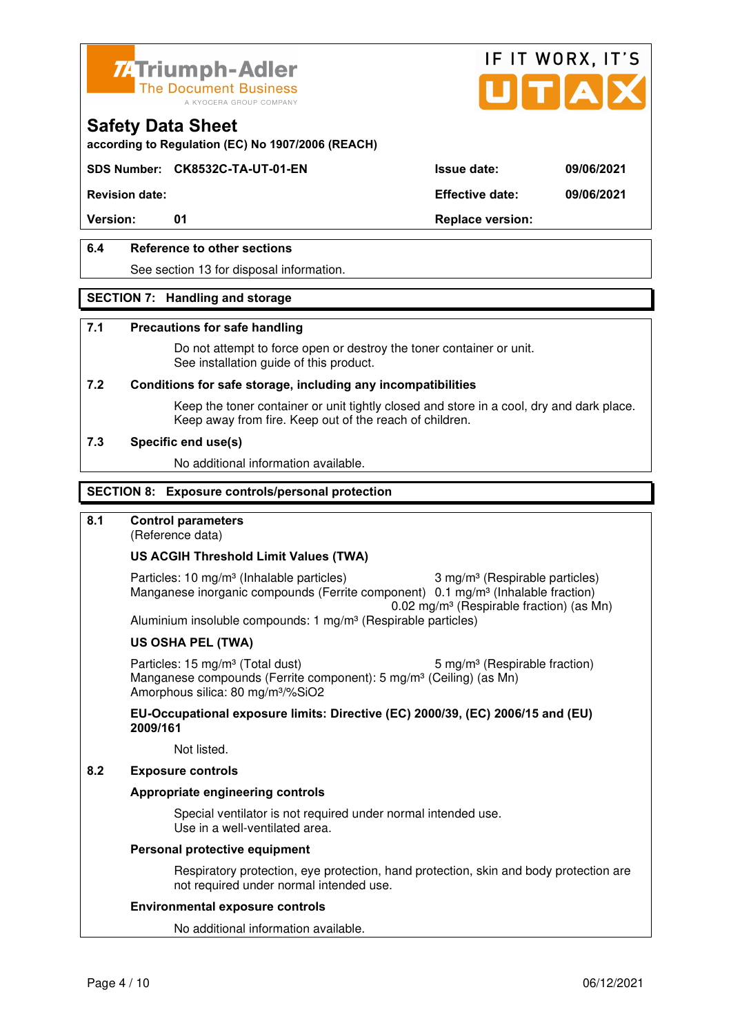



**according to Regulation (EC) No 1907/2006 (REACH)**

### **SDS Number: CK8532C-TA-UT-01-EN Issue date: 09/06/2021**

**Revision date: Effective date: 09/06/2021** 

Version: 01 01 **Replace version:** 

### **6.4 Reference to other sections**

See section 13 for disposal information.

#### **SECTION 7: Handling and storage**

#### **7.1 Precautions for safe handling**

 Do not attempt to force open or destroy the toner container or unit. See installation guide of this product.

#### **7.2 Conditions for safe storage, including any incompatibilities**

Keep the toner container or unit tightly closed and store in a cool, dry and dark place. Keep away from fire. Keep out of the reach of children.

#### **7.3 Specific end use(s)**

No additional information available.

#### **SECTION 8: Exposure controls/personal protection**

### **8.1 Control parameters**

(Reference data)

#### **US ACGIH Threshold Limit Values (TWA)**

Particles: 10 mg/m<sup>3</sup> (Inhalable particles) 3 mg/m<sup>3</sup> (Respirable particles) Manganese inorganic compounds (Ferrite component) 0.1 mg/m<sup>3</sup> (Inhalable fraction) 0.02 mg/m³ (Respirable fraction) (as Mn) Aluminium insoluble compounds: 1 mg/m<sup>3</sup> (Respirable particles)

#### **US OSHA PEL (TWA)**

Particles: 15 mg/m<sup>3</sup> (Total dust) 5 mg/m<sup>3</sup> (Respirable fraction) Manganese compounds (Ferrite component): 5 mg/m<sup>3</sup> (Ceiling) (as Mn) Amorphous silica: 80 mg/m³/%SiO2

**EU-Occupational exposure limits: Directive (EC) 2000/39, (EC) 2006/15 and (EU) 2009/161**

Not listed.

#### **8.2 Exposure controls**

#### **Appropriate engineering controls**

 Special ventilator is not required under normal intended use. Use in a well-ventilated area.

#### **Personal protective equipment**

 Respiratory protection, eye protection, hand protection, skin and body protection are not required under normal intended use.

#### **Environmental exposure controls**

No additional information available.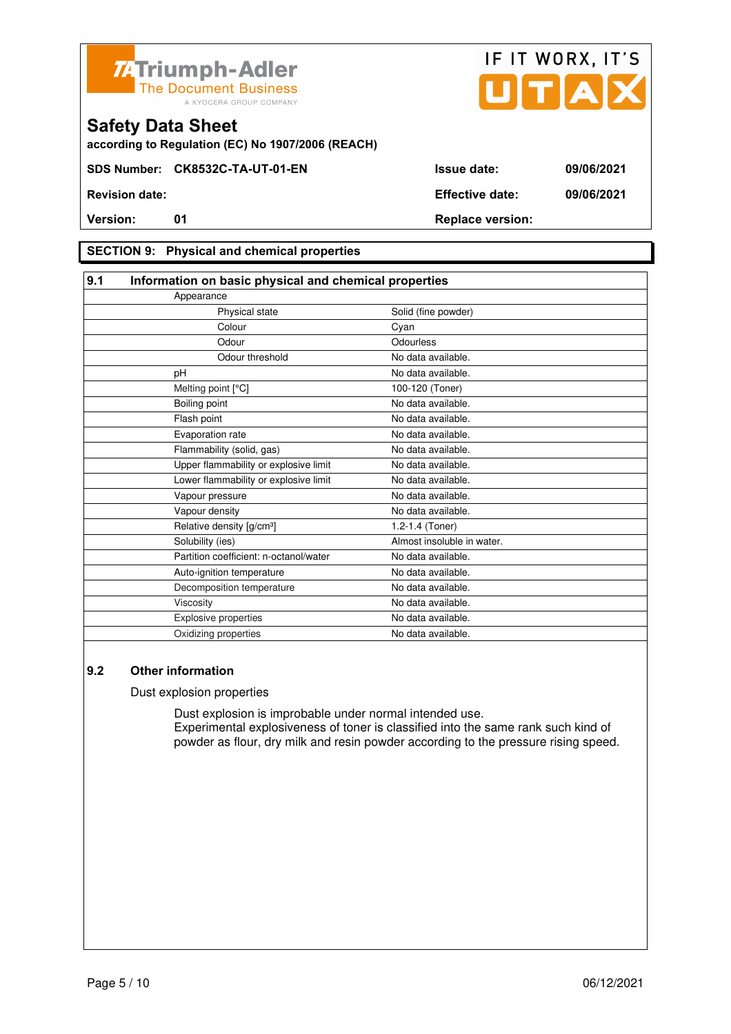



**according to Regulation (EC) No 1907/2006 (REACH)**

### **SECTION 9: Physical and chemical properties**

| 9.1                                    | Information on basic physical and chemical properties |  |  |
|----------------------------------------|-------------------------------------------------------|--|--|
| Appearance                             |                                                       |  |  |
| Physical state                         | Solid (fine powder)                                   |  |  |
| Colour                                 | Cyan                                                  |  |  |
| Odour                                  | Odourless                                             |  |  |
| Odour threshold                        | No data available.                                    |  |  |
| pH                                     | No data available.                                    |  |  |
| Melting point [°C]                     | 100-120 (Toner)                                       |  |  |
| Boiling point                          | No data available.                                    |  |  |
| Flash point                            | No data available.                                    |  |  |
| Evaporation rate                       | No data available.                                    |  |  |
| Flammability (solid, gas)              | No data available.                                    |  |  |
| Upper flammability or explosive limit  | No data available.                                    |  |  |
| Lower flammability or explosive limit  | No data available.                                    |  |  |
| Vapour pressure                        | No data available.                                    |  |  |
| Vapour density                         | No data available.                                    |  |  |
| Relative density [g/cm <sup>3</sup> ]  | 1.2-1.4 (Toner)                                       |  |  |
| Solubility (ies)                       | Almost insoluble in water.                            |  |  |
| Partition coefficient: n-octanol/water | No data available.                                    |  |  |
| Auto-ignition temperature              | No data available.                                    |  |  |
| Decomposition temperature              | No data available.                                    |  |  |
| Viscosity                              | No data available.                                    |  |  |
| <b>Explosive properties</b>            | No data available.                                    |  |  |
| Oxidizing properties                   | No data available.                                    |  |  |

#### **9.2 Other information**

Dust explosion properties

 Dust explosion is improbable under normal intended use. Experimental explosiveness of toner is classified into the same rank such kind of powder as flour, dry milk and resin powder according to the pressure rising speed.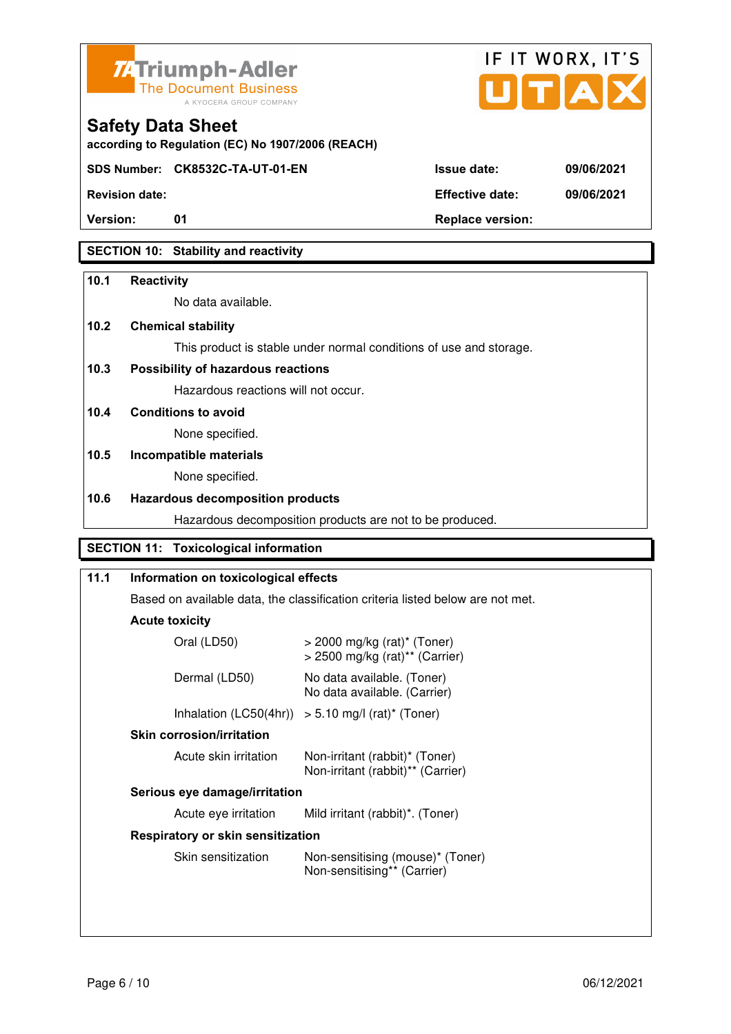



| <b>Safety Data Sheet</b>                          |
|---------------------------------------------------|
| according to Regulation (EC) No 1907/2006 (REACH) |

**SDS Number: CK8532C-TA-UT-01-EN Issue date: 09/06/2021** 

**Revision date: Effective date: 09/06/2021** 

**Version:** 01 **Depending to Provide Contract Provide Contract Provide Contract Provide Contract Provide Contract Provide Contract Provide Contract Provide Contract Provide Contract Provide Contract Provide Contract Provide** 

# **SECTION 10: Stability and reactivity**

### **10.1 Reactivity**

No data available.

# **10.2 Chemical stability**

This product is stable under normal conditions of use and storage.

# **10.3 Possibility of hazardous reactions**

Hazardous reactions will not occur.

**10.4 Conditions to avoid** 

None specified.

# **10.5 Incompatible materials**

None specified.

### **10.6 Hazardous decomposition products**

Hazardous decomposition products are not to be produced.

# **SECTION 11: Toxicological information**

# **11.1 Information on toxicological effects**  Based on available data, the classification criteria listed below are not met. **Acute toxicity** Oral (LD50) > 2000 mg/kg (rat)\* (Toner) > 2500 mg/kg (rat)\*\* (Carrier) Dermal (LD50) No data available. (Toner) No data available. (Carrier) Inhalation  $(LC50(4hr)) > 5.10$  mg/l  $(rat)^*$  (Toner)  **Skin corrosion/irritation** Acute skin irritation Non-irritant (rabbit)\* (Toner) Non-irritant (rabbit)\*\* (Carrier)  **Serious eye damage/irritation** Acute eye irritation Mild irritant (rabbit)\*. (Toner)  **Respiratory or skin sensitization**  Skin sensitization Mon-sensitising (mouse)\* (Toner) Non-sensitising\*\* (Carrier)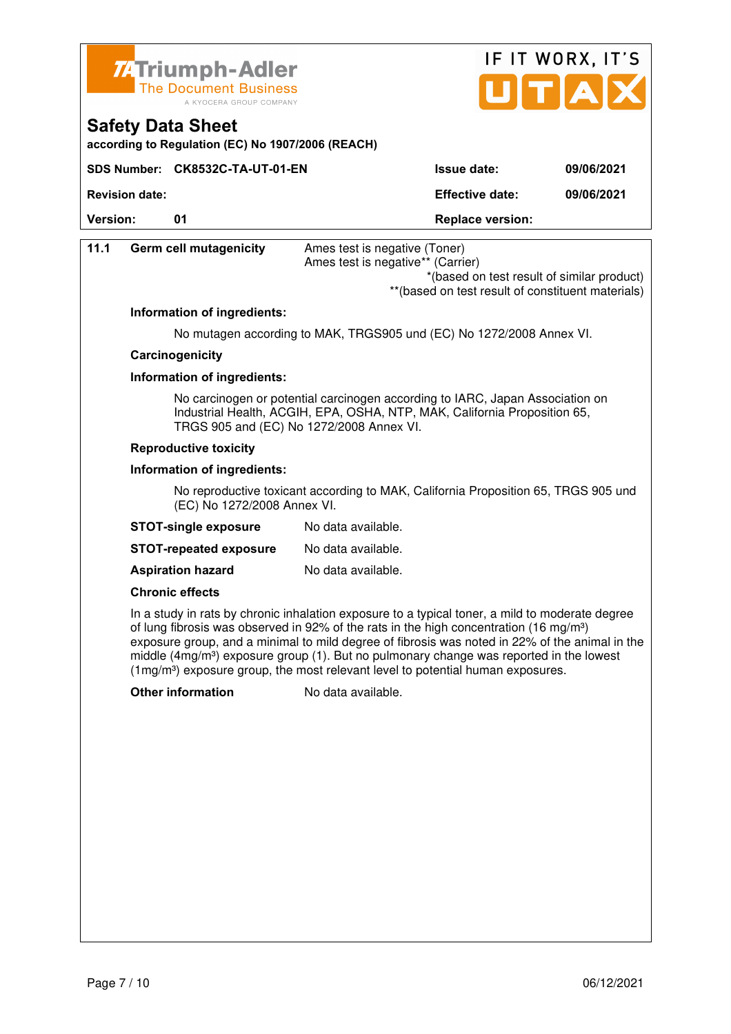



| according to Regulation (EC) No 1907/2006 (REACH) |  |  |
|---------------------------------------------------|--|--|
|                                                   |  |  |

|                | SDS Number: CK8532C-TA-UT-01-EN | <b>Issue date:</b>                   | 09/06/2021 |
|----------------|---------------------------------|--------------------------------------|------------|
| Revision date: |                                 | <b>Effective date:</b><br>09/06/2021 |            |
| Version:       |                                 | <b>Replace version:</b>              |            |

| 11.1                                                                                                                                                                                                   | <b>Germ cell mutagenicity</b> | Ames test is negative (Toner)<br>Ames test is negative** (Carrier)<br>*(based on test result of similar product)<br>** (based on test result of constituent materials)                                                                                                                                                                                                                                                                                                                             |
|--------------------------------------------------------------------------------------------------------------------------------------------------------------------------------------------------------|-------------------------------|----------------------------------------------------------------------------------------------------------------------------------------------------------------------------------------------------------------------------------------------------------------------------------------------------------------------------------------------------------------------------------------------------------------------------------------------------------------------------------------------------|
|                                                                                                                                                                                                        | Information of ingredients:   |                                                                                                                                                                                                                                                                                                                                                                                                                                                                                                    |
|                                                                                                                                                                                                        |                               | No mutagen according to MAK, TRGS905 und (EC) No 1272/2008 Annex VI.                                                                                                                                                                                                                                                                                                                                                                                                                               |
|                                                                                                                                                                                                        | Carcinogenicity               |                                                                                                                                                                                                                                                                                                                                                                                                                                                                                                    |
|                                                                                                                                                                                                        | Information of ingredients:   |                                                                                                                                                                                                                                                                                                                                                                                                                                                                                                    |
| No carcinogen or potential carcinogen according to IARC, Japan Association on<br>Industrial Health, ACGIH, EPA, OSHA, NTP, MAK, California Proposition 65,<br>TRGS 905 and (EC) No 1272/2008 Annex VI. |                               |                                                                                                                                                                                                                                                                                                                                                                                                                                                                                                    |
|                                                                                                                                                                                                        | <b>Reproductive toxicity</b>  |                                                                                                                                                                                                                                                                                                                                                                                                                                                                                                    |
|                                                                                                                                                                                                        | Information of ingredients:   |                                                                                                                                                                                                                                                                                                                                                                                                                                                                                                    |
|                                                                                                                                                                                                        | (EC) No 1272/2008 Annex VI.   | No reproductive toxicant according to MAK, California Proposition 65, TRGS 905 und                                                                                                                                                                                                                                                                                                                                                                                                                 |
|                                                                                                                                                                                                        | <b>STOT-single exposure</b>   | No data available.                                                                                                                                                                                                                                                                                                                                                                                                                                                                                 |
|                                                                                                                                                                                                        | <b>STOT-repeated exposure</b> | No data available.                                                                                                                                                                                                                                                                                                                                                                                                                                                                                 |
|                                                                                                                                                                                                        | <b>Aspiration hazard</b>      | No data available.                                                                                                                                                                                                                                                                                                                                                                                                                                                                                 |
|                                                                                                                                                                                                        | <b>Chronic effects</b>        |                                                                                                                                                                                                                                                                                                                                                                                                                                                                                                    |
|                                                                                                                                                                                                        |                               | In a study in rats by chronic inhalation exposure to a typical toner, a mild to moderate degree<br>of lung fibrosis was observed in 92% of the rats in the high concentration (16 mg/m <sup>3</sup> )<br>exposure group, and a minimal to mild degree of fibrosis was noted in 22% of the animal in the<br>middle $(4mg/m3)$ exposure group (1). But no pulmonary change was reported in the lowest<br>(1mg/m <sup>3</sup> ) exposure group, the most relevant level to potential human exposures. |
|                                                                                                                                                                                                        | <b>Other information</b>      | No data available.                                                                                                                                                                                                                                                                                                                                                                                                                                                                                 |
|                                                                                                                                                                                                        |                               |                                                                                                                                                                                                                                                                                                                                                                                                                                                                                                    |
|                                                                                                                                                                                                        |                               |                                                                                                                                                                                                                                                                                                                                                                                                                                                                                                    |
|                                                                                                                                                                                                        |                               |                                                                                                                                                                                                                                                                                                                                                                                                                                                                                                    |
|                                                                                                                                                                                                        |                               |                                                                                                                                                                                                                                                                                                                                                                                                                                                                                                    |
|                                                                                                                                                                                                        |                               |                                                                                                                                                                                                                                                                                                                                                                                                                                                                                                    |
|                                                                                                                                                                                                        |                               |                                                                                                                                                                                                                                                                                                                                                                                                                                                                                                    |
|                                                                                                                                                                                                        |                               |                                                                                                                                                                                                                                                                                                                                                                                                                                                                                                    |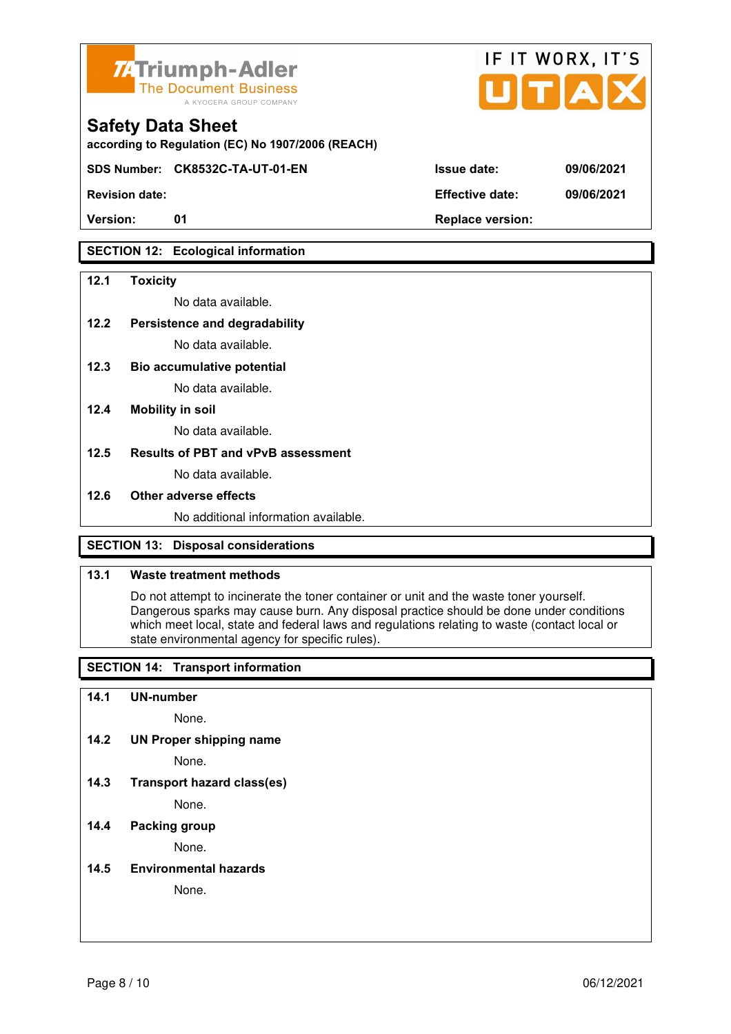

**according to Regulation (EC) No 1907/2006 (REACH)**

**SDS Number: CK8532C-TA-UT-01-EN Issue date: 09/06/2021** 

# **SECTION 12: Ecological information**

#### **12.1 Toxicity**

No data available.

#### **12.2 Persistence and degradability**

No data available.

**12.3 Bio accumulative potential** 

No data available.

#### **12.4 Mobility in soil**

No data available.

#### **12.5 Results of PBT and vPvB assessment**

No data available.

#### **12.6 Other adverse effects**

No additional information available.

# **SECTION 13: Disposal considerations**

#### **13.1 Waste treatment methods**

 Do not attempt to incinerate the toner container or unit and the waste toner yourself. Dangerous sparks may cause burn. Any disposal practice should be done under conditions which meet local, state and federal laws and regulations relating to waste (contact local or state environmental agency for specific rules).

# **SECTION 14: Transport information**

#### **14.1 UN-number**

None.

**14.2 UN Proper shipping name** 

None.

**14.3 Transport hazard class(es)** 

None.

### **14.4 Packing group**

None.

#### **14.5 Environmental hazards**

None.

| <b>Revision date:</b> | <b>Effective date:</b> | 09/06/2021 |
|-----------------------|------------------------|------------|

IF IT WORX, IT'S

Version: 01 01 **Replace version:**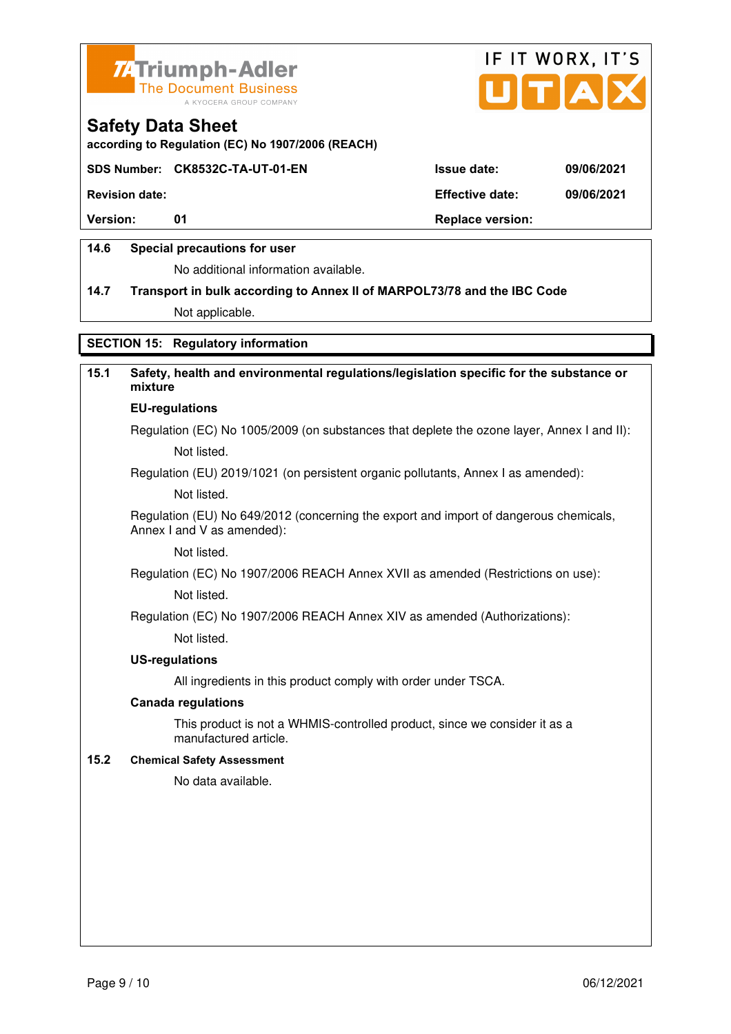



**according to Regulation (EC) No 1907/2006 (REACH)**

### **SDS Number: CK8532C-TA-UT-01-EN Issue date: 09/06/2021**

**Revision date: Effective date: 09/06/2021** 

**Version:** 01 **Depending to 201 Replace version:** 

### **14.6 Special precautions for user**

No additional information available.

# **14.7 Transport in bulk according to Annex II of MARPOL73/78 and the IBC Code**

Not applicable.

# **SECTION 15: Regulatory information**

# **15.1 Safety, health and environmental regulations/legislation specific for the substance or mixture**

# **EU-regulations**

Regulation (EC) No 1005/2009 (on substances that deplete the ozone layer, Annex I and II): Not listed.

Regulation (EU) 2019/1021 (on persistent organic pollutants, Annex I as amended):

Not listed.

 Regulation (EU) No 649/2012 (concerning the export and import of dangerous chemicals, Annex I and V as amended):

Not listed.

 Regulation (EC) No 1907/2006 REACH Annex XVII as amended (Restrictions on use): Not listed.

Regulation (EC) No 1907/2006 REACH Annex XIV as amended (Authorizations):

Not listed.

#### **US-regulations**

All ingredients in this product comply with order under TSCA.

#### **Canada regulations**

 This product is not a WHMIS-controlled product, since we consider it as a manufactured article.

#### **15.2 Chemical Safety Assessment**

No data available.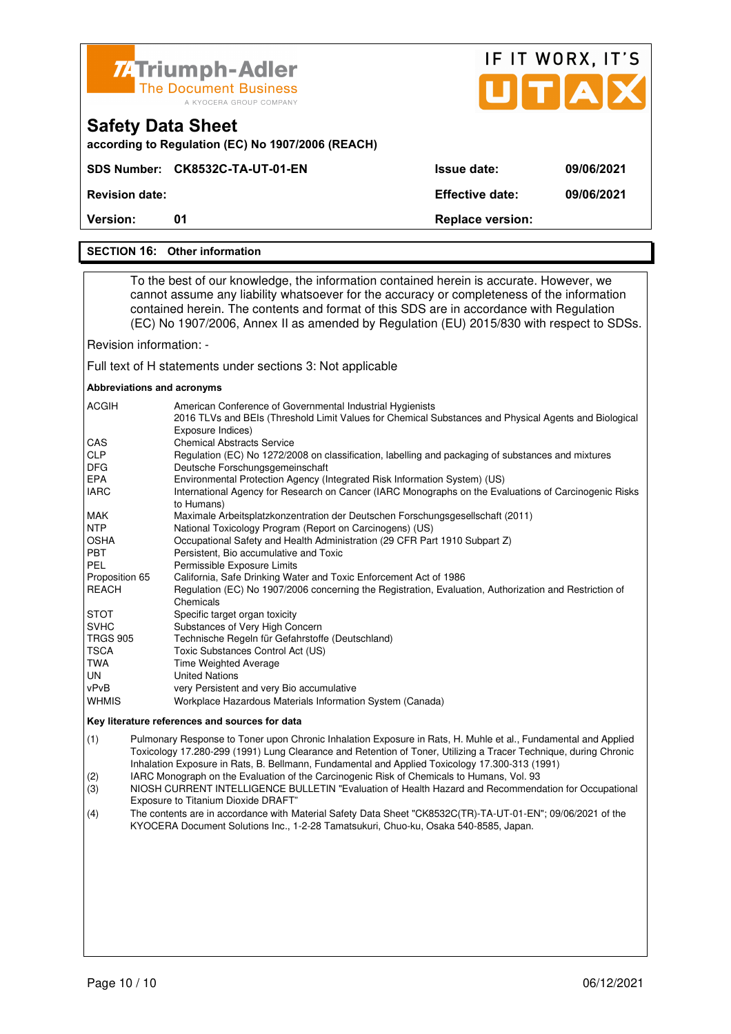| <b>74 Triumph-Adler</b><br><b>The Document Business</b> |  |
|---------------------------------------------------------|--|
| A KYOCERA GROUP COMPANY                                 |  |

| <b>7. Triumph-Adler</b><br>The Document Business<br>A KYOCERA GROUP COMPANY   |                        | IF IT WORX, IT'S<br>UTAX |
|-------------------------------------------------------------------------------|------------------------|--------------------------|
| <b>Safety Data Sheet</b><br>according to Regulation (EC) No 1907/2006 (REACH) |                        |                          |
| SDS Number: CK8532C-TA-UT-01-EN                                               | <b>Issue date:</b>     | 09/06/2021               |
| <b>Revision date:</b>                                                         | <b>Effective date:</b> | 09/06/2021               |

**Version:** 01 **Replace version: 01 Replace version:** 

#### **SECTION 16: Other information**

 To the best of our knowledge, the information contained herein is accurate. However, we cannot assume any liability whatsoever for the accuracy or completeness of the information contained herein. The contents and format of this SDS are in accordance with Regulation (EC) No 1907/2006, Annex II as amended by Regulation (EU) 2015/830 with respect to SDSs.

Revision information: -

Full text of H statements under sections 3: Not applicable

#### **Abbreviations and acronyms**

| <b>ACGIH</b>    | American Conference of Governmental Industrial Hygienists                                                                  |
|-----------------|----------------------------------------------------------------------------------------------------------------------------|
|                 | 2016 TLVs and BEIs (Threshold Limit Values for Chemical Substances and Physical Agents and Biological<br>Exposure Indices) |
| <b>CAS</b>      | <b>Chemical Abstracts Service</b>                                                                                          |
| <b>CLP</b>      | Regulation (EC) No 1272/2008 on classification, labelling and packaging of substances and mixtures                         |
| <b>DFG</b>      | Deutsche Forschungsgemeinschaft                                                                                            |
| <b>EPA</b>      | Environmental Protection Agency (Integrated Risk Information System) (US)                                                  |
| <b>IARC</b>     | International Agency for Research on Cancer (IARC Monographs on the Evaluations of Carcinogenic Risks<br>to Humans)        |
| MAK             | Maximale Arbeitsplatzkonzentration der Deutschen Forschungsgesellschaft (2011)                                             |
| <b>NTP</b>      | National Toxicology Program (Report on Carcinogens) (US)                                                                   |
| <b>OSHA</b>     | Occupational Safety and Health Administration (29 CFR Part 1910 Subpart Z)                                                 |
| <b>PBT</b>      | Persistent, Bio accumulative and Toxic                                                                                     |
| PEL             | Permissible Exposure Limits                                                                                                |
| Proposition 65  | California, Safe Drinking Water and Toxic Enforcement Act of 1986                                                          |
| <b>REACH</b>    | Regulation (EC) No 1907/2006 concerning the Registration, Evaluation, Authorization and Restriction of                     |
|                 | Chemicals                                                                                                                  |
| <b>STOT</b>     | Specific target organ toxicity                                                                                             |
| <b>SVHC</b>     | Substances of Very High Concern                                                                                            |
| <b>TRGS 905</b> | Technische Regeln für Gefahrstoffe (Deutschland)                                                                           |
| <b>TSCA</b>     | Toxic Substances Control Act (US)                                                                                          |
| TWA             | Time Weighted Average                                                                                                      |
| UN.             | <b>United Nations</b>                                                                                                      |
| vPvB            | very Persistent and very Bio accumulative                                                                                  |
| <b>WHMIS</b>    | Workplace Hazardous Materials Information System (Canada)                                                                  |

#### **Key literature references and sources for data**

(1) Pulmonary Response to Toner upon Chronic Inhalation Exposure in Rats, H. Muhle et al., Fundamental and Applied Toxicology 17.280-299 (1991) Lung Clearance and Retention of Toner, Utilizing a Tracer Technique, during Chronic Inhalation Exposure in Rats, B. Bellmann, Fundamental and Applied Toxicology 17.300-313 (1991)

(2) IARC Monograph on the Evaluation of the Carcinogenic Risk of Chemicals to Humans, Vol. 93

(3) NIOSH CURRENT INTELLIGENCE BULLETIN "Evaluation of Health Hazard and Recommendation for Occupational Exposure to Titanium Dioxide DRAFT"

(4) The contents are in accordance with Material Safety Data Sheet "CK8532C(TR)-TA-UT-01-EN"; 09/06/2021 of the KYOCERA Document Solutions Inc., 1-2-28 Tamatsukuri, Chuo-ku, Osaka 540-8585, Japan.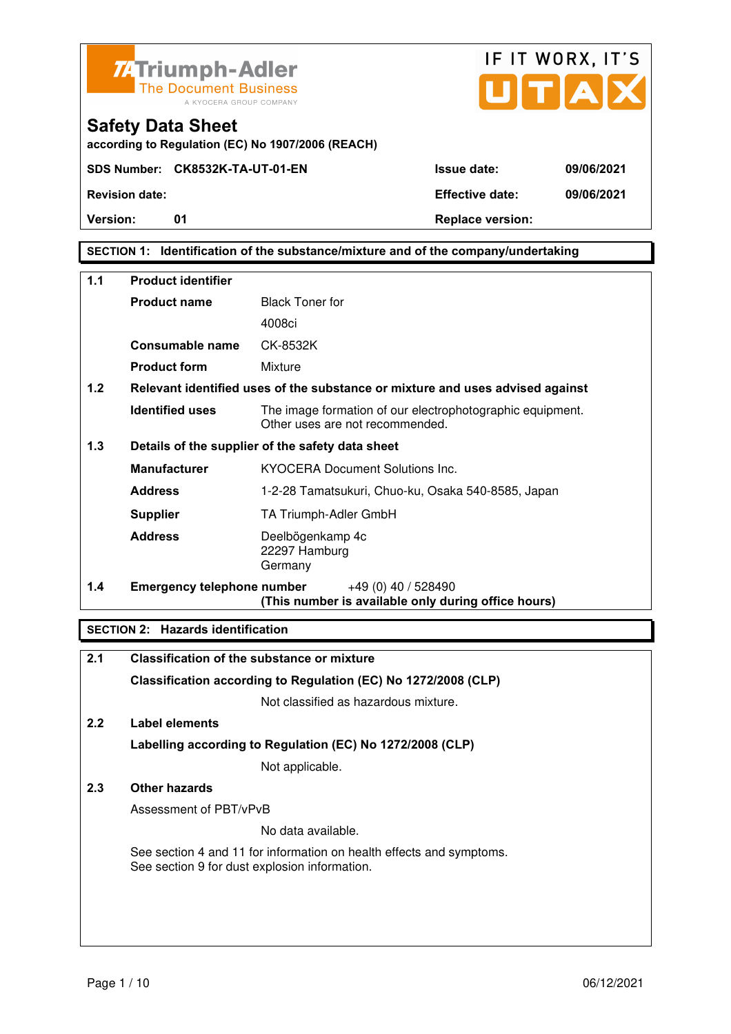



**Safety Data Sheet** 

**Version:** 01 **Depending to Provide Contract Provide Contract Provide Contract Provide Contract Provide Contract Provide Contract Provide Contract Provide Contract Provide Contract Provide Contract Provide Contract Provide** 

# **SECTION 1: Identification of the substance/mixture and of the company/undertaking**

| 1.1 | <b>Product identifier</b>                        |                                                                                              |  |
|-----|--------------------------------------------------|----------------------------------------------------------------------------------------------|--|
|     |                                                  |                                                                                              |  |
|     | <b>Product name</b>                              | <b>Black Toner for</b>                                                                       |  |
|     |                                                  | 4008ci                                                                                       |  |
|     | Consumable name                                  | CK-8532K                                                                                     |  |
|     | <b>Product form</b>                              | Mixture                                                                                      |  |
| 1.2 |                                                  | Relevant identified uses of the substance or mixture and uses advised against                |  |
|     | <b>Identified uses</b>                           | The image formation of our electrophotographic equipment.<br>Other uses are not recommended. |  |
| 1.3 | Details of the supplier of the safety data sheet |                                                                                              |  |
|     | <b>Manufacturer</b>                              | <b>KYOCERA Document Solutions Inc.</b>                                                       |  |
|     | <b>Address</b>                                   | 1-2-28 Tamatsukuri, Chuo-ku, Osaka 540-8585, Japan                                           |  |
|     | <b>Supplier</b>                                  | TA Triumph-Adler GmbH                                                                        |  |
|     | <b>Address</b>                                   | Deelbögenkamp 4c<br>22297 Hamburg<br>Germany                                                 |  |
| 1.4 | <b>Emergency telephone number</b>                | $+49(0)$ 40 / 528490<br>(This number is available only during office hours)                  |  |

#### **SECTION 2: Hazards identification**

| 2.1 | Classification of the substance or mixture                                                                            |
|-----|-----------------------------------------------------------------------------------------------------------------------|
|     | Classification according to Regulation (EC) No 1272/2008 (CLP)                                                        |
|     | Not classified as hazardous mixture.                                                                                  |
| 2.2 | Label elements                                                                                                        |
|     | Labelling according to Regulation (EC) No 1272/2008 (CLP)                                                             |
|     | Not applicable.                                                                                                       |
| 2.3 | Other hazards                                                                                                         |
|     | Assessment of PBT/vPvB                                                                                                |
|     | No data available.                                                                                                    |
|     | See section 4 and 11 for information on health effects and symptoms.<br>See section 9 for dust explosion information. |
|     |                                                                                                                       |
|     |                                                                                                                       |
|     |                                                                                                                       |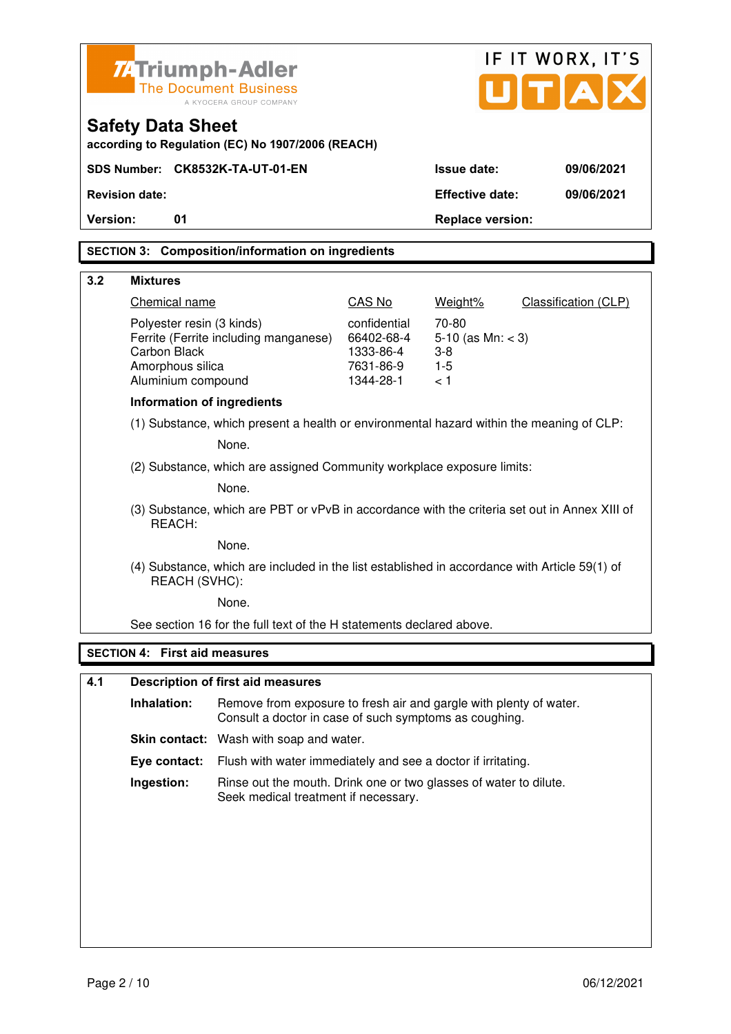|          | <b>74 Triumph-Adler</b>                                                                  |                                                                                                                              |                                                      |                                                   | IF IT WORX, IT'S                    |
|----------|------------------------------------------------------------------------------------------|------------------------------------------------------------------------------------------------------------------------------|------------------------------------------------------|---------------------------------------------------|-------------------------------------|
|          |                                                                                          | <b>The Document Business</b>                                                                                                 |                                                      |                                                   | $\mathbf{U}[\mathbf{T} \mathbf{A}]$ |
|          |                                                                                          | A KYOCERA GROUP COMPANY                                                                                                      |                                                      |                                                   |                                     |
|          | <b>Safety Data Sheet</b>                                                                 | according to Regulation (EC) No 1907/2006 (REACH)                                                                            |                                                      |                                                   |                                     |
|          |                                                                                          | SDS Number: CK8532K-TA-UT-01-EN                                                                                              |                                                      | <b>Issue date:</b>                                | 09/06/2021                          |
|          | <b>Revision date:</b>                                                                    |                                                                                                                              |                                                      | <b>Effective date:</b>                            | 09/06/2021                          |
| Version: | 01                                                                                       |                                                                                                                              |                                                      | <b>Replace version:</b>                           |                                     |
|          |                                                                                          | <b>SECTION 3: Composition/information on ingredients</b>                                                                     |                                                      |                                                   |                                     |
|          |                                                                                          |                                                                                                                              |                                                      |                                                   |                                     |
| 3.2      | <b>Mixtures</b>                                                                          |                                                                                                                              |                                                      |                                                   |                                     |
|          | Chemical name                                                                            |                                                                                                                              | CAS No                                               | Weight%                                           | Classification (CLP)                |
|          | Polyester resin (3 kinds)<br>Carbon Black<br>Amorphous silica                            | Ferrite (Ferrite including manganese)                                                                                        | confidential<br>66402-68-4<br>1333-86-4<br>7631-86-9 | 70-80<br>5-10 (as $Mn: < 3$ )<br>$3-8$<br>$1 - 5$ |                                     |
|          | Aluminium compound                                                                       |                                                                                                                              | 1344-28-1                                            | < 1                                               |                                     |
|          | <b>Information of ingredients</b>                                                        |                                                                                                                              |                                                      |                                                   |                                     |
|          | (1) Substance, which present a health or environmental hazard within the meaning of CLP: |                                                                                                                              |                                                      |                                                   |                                     |
|          |                                                                                          | None.                                                                                                                        |                                                      |                                                   |                                     |
|          |                                                                                          | (2) Substance, which are assigned Community workplace exposure limits:                                                       |                                                      |                                                   |                                     |
|          |                                                                                          | None.                                                                                                                        |                                                      |                                                   |                                     |
|          | REACH:                                                                                   | (3) Substance, which are PBT or vPvB in accordance with the criteria set out in Annex XIII of                                |                                                      |                                                   |                                     |
|          |                                                                                          | None.                                                                                                                        |                                                      |                                                   |                                     |
|          | REACH (SVHC):                                                                            | (4) Substance, which are included in the list established in accordance with Article 59(1) of                                |                                                      |                                                   |                                     |
|          |                                                                                          | None.                                                                                                                        |                                                      |                                                   |                                     |
|          |                                                                                          | See section 16 for the full text of the H statements declared above.                                                         |                                                      |                                                   |                                     |
|          | <b>SECTION 4: First aid measures</b>                                                     |                                                                                                                              |                                                      |                                                   |                                     |
| 4.1      |                                                                                          | <b>Description of first aid measures</b>                                                                                     |                                                      |                                                   |                                     |
|          |                                                                                          |                                                                                                                              |                                                      |                                                   |                                     |
|          | Inhalation:                                                                              | Remove from exposure to fresh air and gargle with plenty of water.<br>Consult a doctor in case of such symptoms as coughing. |                                                      |                                                   |                                     |
|          |                                                                                          | Skin contact: Wash with soap and water.                                                                                      |                                                      |                                                   |                                     |
|          | Eye contact:                                                                             | Flush with water immediately and see a doctor if irritating.                                                                 |                                                      |                                                   |                                     |

 **Ingestion:** Rinse out the mouth. Drink one or two glasses of water to dilute. Seek medical treatment if necessary.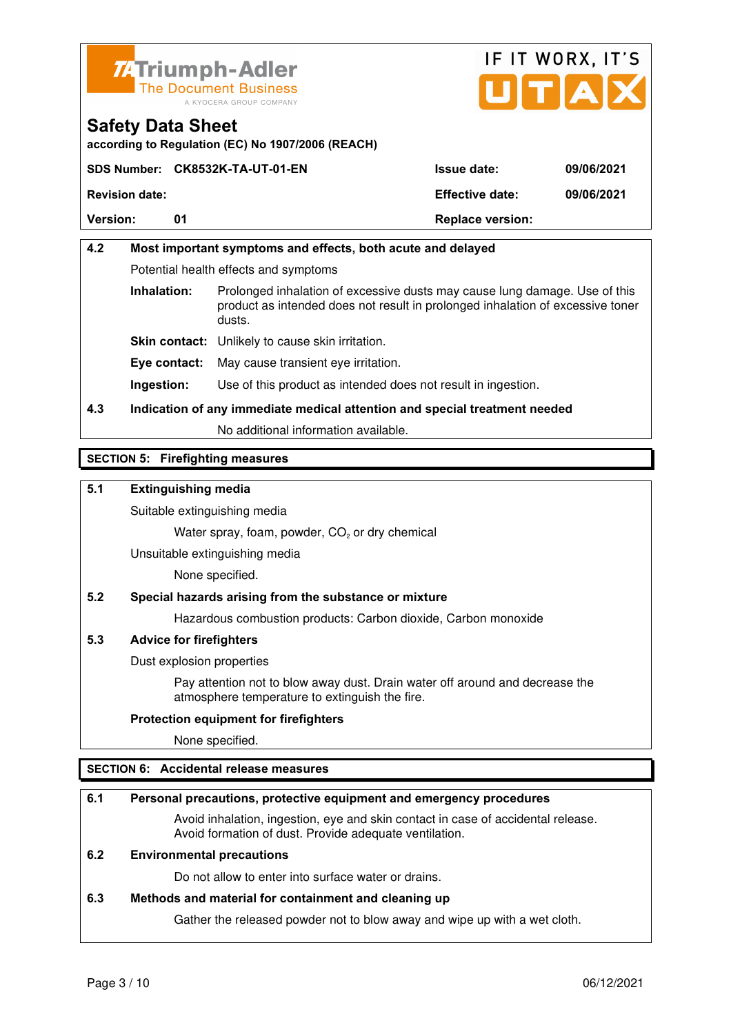



**according to Regulation (EC) No 1907/2006 (REACH)**

|                       | SDS Number: CK8532K-TA-UT-01-EN | <b>Issue date:</b>      | 09/06/2021 |
|-----------------------|---------------------------------|-------------------------|------------|
| <b>Revision date:</b> |                                 | <b>Effective date:</b>  | 09/06/2021 |
| <b>Version:</b>       | 01                              | <b>Replace version:</b> |            |

# **4.2 Most important symptoms and effects, both acute and delayed**  Potential health effects and symptoms **Inhalation:** Prolonged inhalation of excessive dusts may cause lung damage. Use of this product as intended does not result in prolonged inhalation of excessive toner dusts. **Skin contact:** Unlikely to cause skin irritation. **Eye contact:** May cause transient eye irritation.

**Ingestion:** Use of this product as intended does not result in ingestion.

# **4.3 Indication of any immediate medical attention and special treatment needed**

No additional information available.

### **SECTION 5: Firefighting measures**

#### **5.1 Extinguishing media**

Suitable extinguishing media

Water spray, foam, powder,  $CO<sub>2</sub>$  or dry chemical

Unsuitable extinguishing media

None specified.

#### **5.2 Special hazards arising from the substance or mixture**

Hazardous combustion products: Carbon dioxide, Carbon monoxide

#### **5.3 Advice for firefighters**

Dust explosion properties

 Pay attention not to blow away dust. Drain water off around and decrease the atmosphere temperature to extinguish the fire.

#### **Protection equipment for firefighters**

None specified.

#### **SECTION 6: Accidental release measures**

#### **6.1 Personal precautions, protective equipment and emergency procedures**

 Avoid inhalation, ingestion, eye and skin contact in case of accidental release. Avoid formation of dust. Provide adequate ventilation.

#### **6.2 Environmental precautions**

Do not allow to enter into surface water or drains.

#### **6.3 Methods and material for containment and cleaning up**

Gather the released powder not to blow away and wipe up with a wet cloth.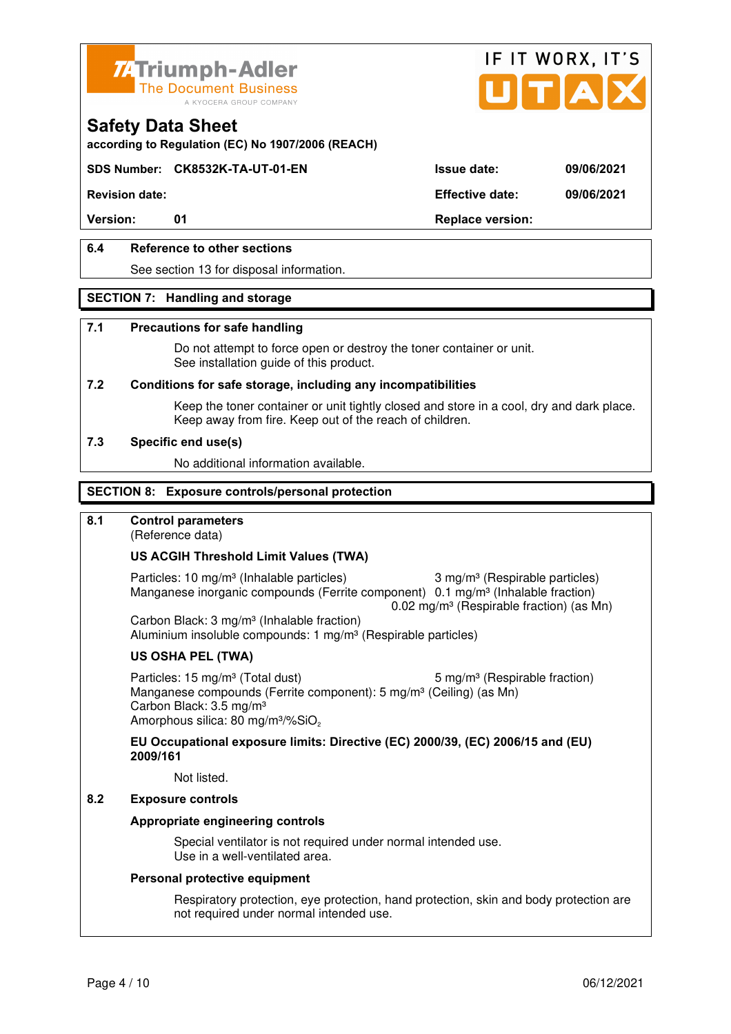



**according to Regulation (EC) No 1907/2006 (REACH)**

### **SDS Number: CK8532K-TA-UT-01-EN Issue date: 09/06/2021**

**Revision date: Effective date: 09/06/2021** 

Version: 01 01 **Replace version:** 

### **6.4 Reference to other sections**

See section 13 for disposal information.

#### **SECTION 7: Handling and storage**

#### **7.1 Precautions for safe handling**

 Do not attempt to force open or destroy the toner container or unit. See installation guide of this product.

#### **7.2 Conditions for safe storage, including any incompatibilities**

Keep the toner container or unit tightly closed and store in a cool, dry and dark place. Keep away from fire. Keep out of the reach of children.

#### **7.3 Specific end use(s)**

No additional information available.

#### **SECTION 8: Exposure controls/personal protection**

#### **8.1 Control parameters**

(Reference data)

#### **US ACGIH Threshold Limit Values (TWA)**

Particles: 10 mg/m<sup>3</sup> (Inhalable particles) 3 mg/m<sup>3</sup> (Respirable particles) Manganese inorganic compounds (Ferrite component) 0.1 mg/m<sup>3</sup> (Inhalable fraction)  $0.02$  mg/m<sup>3</sup> (Respirable fraction) (as Mn)

 Carbon Black: 3 mg/m³ (Inhalable fraction) Aluminium insoluble compounds: 1 mg/m<sup>3</sup> (Respirable particles)

#### **US OSHA PEL (TWA)**

Particles: 15 mg/m<sup>3</sup> (Total dust) 5 mg/m<sup>3</sup> (Respirable fraction) Manganese compounds (Ferrite component): 5 mg/m<sup>3</sup> (Ceiling) (as Mn) Carbon Black: 3.5 mg/m³ Amorphous silica: 80 mg/m<sup>3</sup>/%SiO<sub>2</sub>

#### **EU Occupational exposure limits: Directive (EC) 2000/39, (EC) 2006/15 and (EU) 2009/161**

Not listed.

### **8.2 Exposure controls**

#### **Appropriate engineering controls**

 Special ventilator is not required under normal intended use. Use in a well-ventilated area.

#### **Personal protective equipment**

 Respiratory protection, eye protection, hand protection, skin and body protection are not required under normal intended use.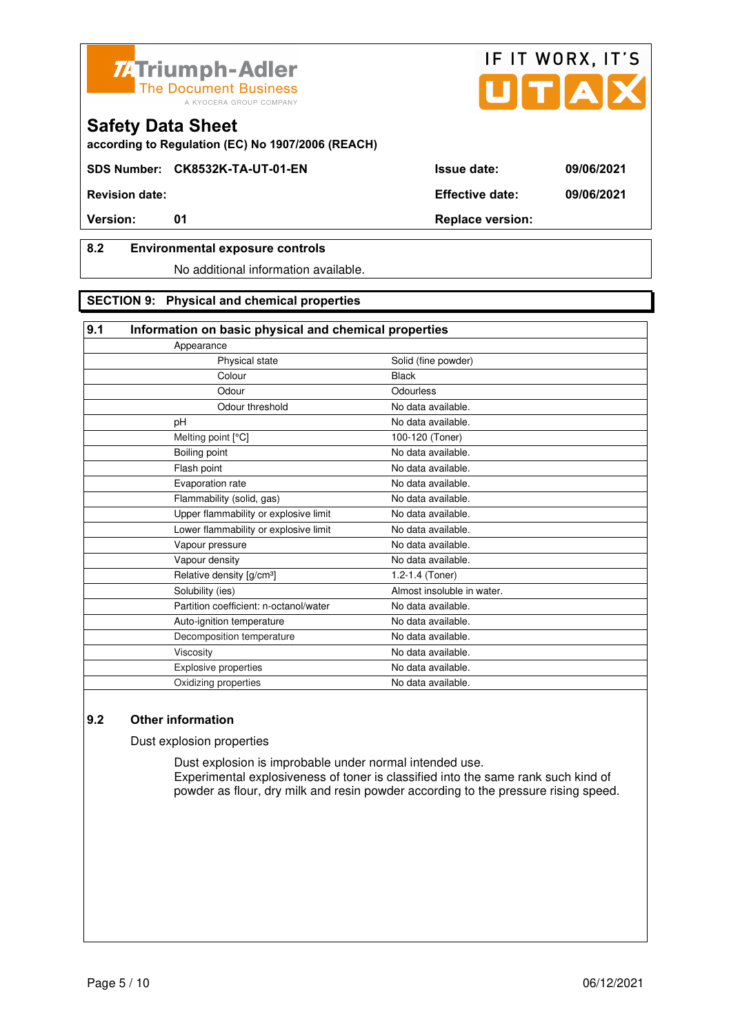



**SDS Number: CK8532K-TA-UT-01-EN Issue date: 09/06/2021** 

**Revision date: Effective date: 09/06/2021** 

# **8.2 Environmental exposure controls**

No additional information available.

### **SECTION 9: Physical and chemical properties**

| 9.1<br>Information on basic physical and chemical properties |                            |
|--------------------------------------------------------------|----------------------------|
| Appearance                                                   |                            |
| Physical state                                               | Solid (fine powder)        |
| Colour                                                       | <b>Black</b>               |
| Odour                                                        | Odourless                  |
| Odour threshold                                              | No data available.         |
| рH                                                           | No data available.         |
| Melting point [°C]                                           | 100-120 (Toner)            |
| Boiling point                                                | No data available.         |
| Flash point                                                  | No data available.         |
| Evaporation rate                                             | No data available.         |
| Flammability (solid, gas)                                    | No data available.         |
| Upper flammability or explosive limit                        | No data available.         |
| Lower flammability or explosive limit                        | No data available.         |
| Vapour pressure                                              | No data available.         |
| Vapour density                                               | No data available.         |
| Relative density [g/cm <sup>3</sup> ]                        | 1.2-1.4 (Toner)            |
| Solubility (ies)                                             | Almost insoluble in water. |
| Partition coefficient: n-octanol/water                       | No data available.         |
| Auto-ignition temperature                                    | No data available.         |
| Decomposition temperature                                    | No data available.         |
| Viscosity                                                    | No data available.         |
| Explosive properties                                         | No data available.         |
| Oxidizing properties                                         | No data available.         |

# **9.2 Other information**

Dust explosion properties

 Dust explosion is improbable under normal intended use. Experimental explosiveness of toner is classified into the same rank such kind of powder as flour, dry milk and resin powder according to the pressure rising speed.

IF IT WORX, IT'S

**Version:** 01 01 Replace version:

Page 5 / 10 06/12/2021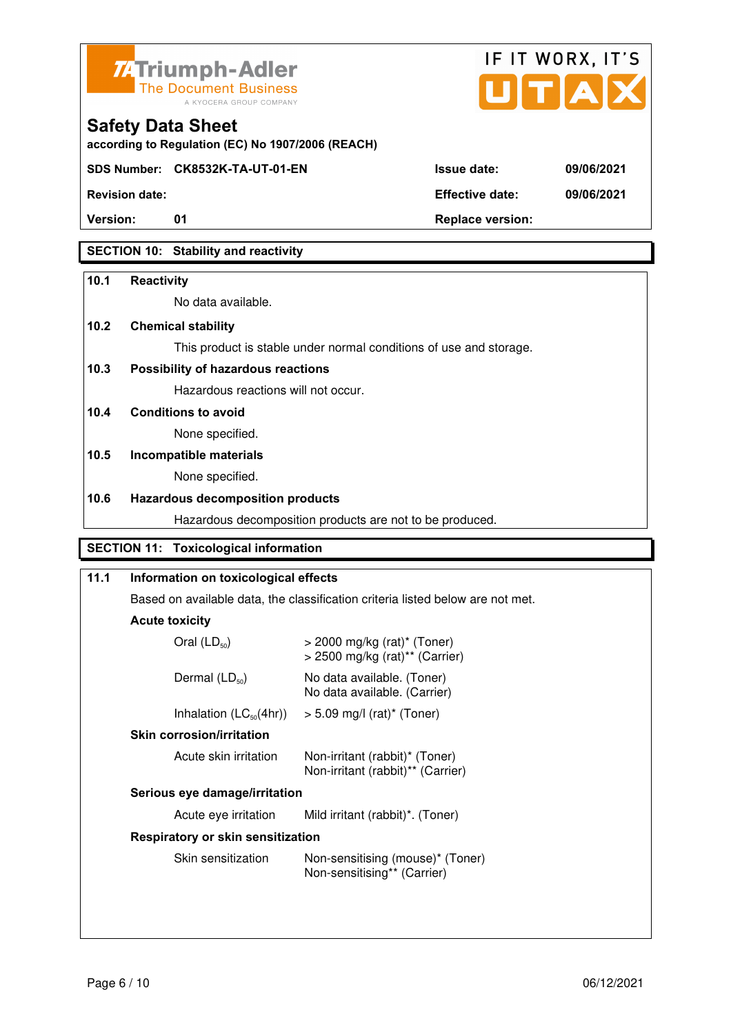



**SDS Number: CK8532K-TA-UT-01-EN Issue date: 09/06/2021** 

**Revision date: Effective date: 09/06/2021** 

**Version:** 01 **Depending to Provide Contract Provide Contract Provide Contract Provide Contract Provide Contract Provide Contract Provide Contract Provide Contract Provide Contract Provide Contract Provide Contract Provide** 

# **SECTION 10: Stability and reactivity**

### **10.1 Reactivity**

No data available.

# **10.2 Chemical stability**

This product is stable under normal conditions of use and storage.

# **10.3 Possibility of hazardous reactions**

Hazardous reactions will not occur.

**10.4 Conditions to avoid** 

None specified.

# **10.5 Incompatible materials**

None specified.

### **10.6 Hazardous decomposition products**

Hazardous decomposition products are not to be produced.

# **SECTION 11: Toxicological information**

| 11.1                          | Information on toxicological effects     |                                                                                           |  |  |
|-------------------------------|------------------------------------------|-------------------------------------------------------------------------------------------|--|--|
|                               |                                          | Based on available data, the classification criteria listed below are not met.            |  |  |
|                               | <b>Acute toxicity</b>                    |                                                                                           |  |  |
|                               | Oral $(LD_{50})$                         | $>$ 2000 mg/kg (rat) <sup>*</sup> (Toner)<br>$>$ 2500 mg/kg (rat) <sup>**</sup> (Carrier) |  |  |
|                               | Dermal $(LD_{50})$                       | No data available. (Toner)<br>No data available. (Carrier)                                |  |  |
|                               | Inhalation $(LC_{50}(4hr))$              | $> 5.09$ mg/l (rat) <sup>*</sup> (Toner)                                                  |  |  |
|                               | <b>Skin corrosion/irritation</b>         |                                                                                           |  |  |
|                               | Acute skin irritation                    | Non-irritant (rabbit)* (Toner)<br>Non-irritant (rabbit)** (Carrier)                       |  |  |
| Serious eye damage/irritation |                                          |                                                                                           |  |  |
|                               | Acute eye irritation                     | Mild irritant (rabbit)*. (Toner)                                                          |  |  |
|                               | <b>Respiratory or skin sensitization</b> |                                                                                           |  |  |
|                               | Skin sensitization                       | Non-sensitising (mouse)* (Toner)<br>Non-sensitising** (Carrier)                           |  |  |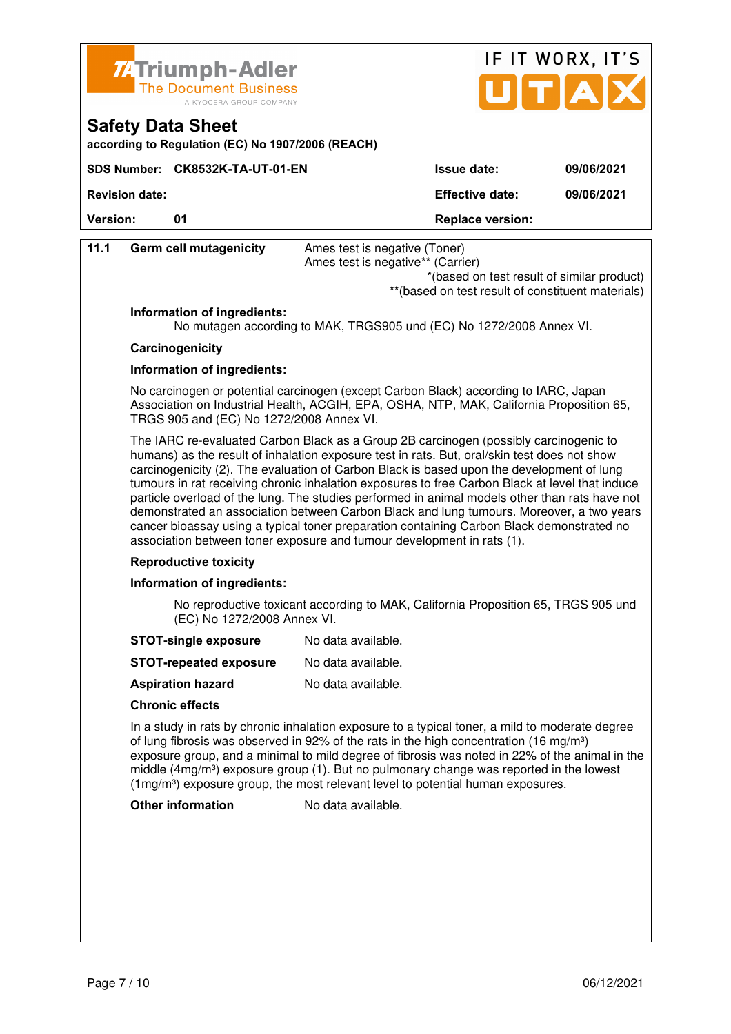



**according to Regulation (EC) No 1907/2006 (REACH)**

|                       | SDS Number: CK8532K-TA-UT-01-EN | <b>Issue date:</b>      | 09/06/2021 |
|-----------------------|---------------------------------|-------------------------|------------|
| <b>Revision date:</b> |                                 | <b>Effective date:</b>  | 09/06/2021 |
| <b>Version:</b>       | ุก1                             | <b>Replace version:</b> |            |

| 11.1                        | <b>Germ cell mutagenicity</b>            | Ames test is negative (Toner)                                                                                                                                                                                                                                                                                                                                                                                                                                                                                                                                                                                                                                                                                                                              |
|-----------------------------|------------------------------------------|------------------------------------------------------------------------------------------------------------------------------------------------------------------------------------------------------------------------------------------------------------------------------------------------------------------------------------------------------------------------------------------------------------------------------------------------------------------------------------------------------------------------------------------------------------------------------------------------------------------------------------------------------------------------------------------------------------------------------------------------------------|
|                             |                                          | Ames test is negative** (Carrier)<br>*(based on test result of similar product)                                                                                                                                                                                                                                                                                                                                                                                                                                                                                                                                                                                                                                                                            |
|                             |                                          | ** (based on test result of constituent materials)                                                                                                                                                                                                                                                                                                                                                                                                                                                                                                                                                                                                                                                                                                         |
|                             | Information of ingredients:              |                                                                                                                                                                                                                                                                                                                                                                                                                                                                                                                                                                                                                                                                                                                                                            |
|                             |                                          | No mutagen according to MAK, TRGS905 und (EC) No 1272/2008 Annex VI.                                                                                                                                                                                                                                                                                                                                                                                                                                                                                                                                                                                                                                                                                       |
|                             | Carcinogenicity                          |                                                                                                                                                                                                                                                                                                                                                                                                                                                                                                                                                                                                                                                                                                                                                            |
|                             | Information of ingredients:              |                                                                                                                                                                                                                                                                                                                                                                                                                                                                                                                                                                                                                                                                                                                                                            |
|                             | TRGS 905 and (EC) No 1272/2008 Annex VI. | No carcinogen or potential carcinogen (except Carbon Black) according to IARC, Japan<br>Association on Industrial Health, ACGIH, EPA, OSHA, NTP, MAK, California Proposition 65,                                                                                                                                                                                                                                                                                                                                                                                                                                                                                                                                                                           |
|                             |                                          | The IARC re-evaluated Carbon Black as a Group 2B carcinogen (possibly carcinogenic to<br>humans) as the result of inhalation exposure test in rats. But, oral/skin test does not show<br>carcinogenicity (2). The evaluation of Carbon Black is based upon the development of lung<br>tumours in rat receiving chronic inhalation exposures to free Carbon Black at level that induce<br>particle overload of the lung. The studies performed in animal models other than rats have not<br>demonstrated an association between Carbon Black and lung tumours. Moreover, a two years<br>cancer bioassay using a typical toner preparation containing Carbon Black demonstrated no<br>association between toner exposure and tumour development in rats (1). |
|                             | <b>Reproductive toxicity</b>             |                                                                                                                                                                                                                                                                                                                                                                                                                                                                                                                                                                                                                                                                                                                                                            |
|                             | Information of ingredients:              |                                                                                                                                                                                                                                                                                                                                                                                                                                                                                                                                                                                                                                                                                                                                                            |
| (EC) No 1272/2008 Annex VI. |                                          | No reproductive toxicant according to MAK, California Proposition 65, TRGS 905 und                                                                                                                                                                                                                                                                                                                                                                                                                                                                                                                                                                                                                                                                         |
|                             | <b>STOT-single exposure</b>              | No data available.                                                                                                                                                                                                                                                                                                                                                                                                                                                                                                                                                                                                                                                                                                                                         |
|                             | <b>STOT-repeated exposure</b>            | No data available.                                                                                                                                                                                                                                                                                                                                                                                                                                                                                                                                                                                                                                                                                                                                         |
|                             | <b>Aspiration hazard</b>                 | No data available.                                                                                                                                                                                                                                                                                                                                                                                                                                                                                                                                                                                                                                                                                                                                         |
|                             | <b>Chronic effects</b>                   |                                                                                                                                                                                                                                                                                                                                                                                                                                                                                                                                                                                                                                                                                                                                                            |
|                             |                                          | In a study in rats by chronic inhalation exposure to a typical toner, a mild to moderate degree<br>of lung fibrosis was observed in 92% of the rats in the high concentration (16 mg/m <sup>3</sup> )<br>exposure group, and a minimal to mild degree of fibrosis was noted in 22% of the animal in the<br>middle $(4mg/m3)$ exposure group (1). But no pulmonary change was reported in the lowest<br>(1mg/m <sup>3</sup> ) exposure group, the most relevant level to potential human exposures.                                                                                                                                                                                                                                                         |
|                             | <b>Other information</b>                 | No data available.                                                                                                                                                                                                                                                                                                                                                                                                                                                                                                                                                                                                                                                                                                                                         |
|                             |                                          |                                                                                                                                                                                                                                                                                                                                                                                                                                                                                                                                                                                                                                                                                                                                                            |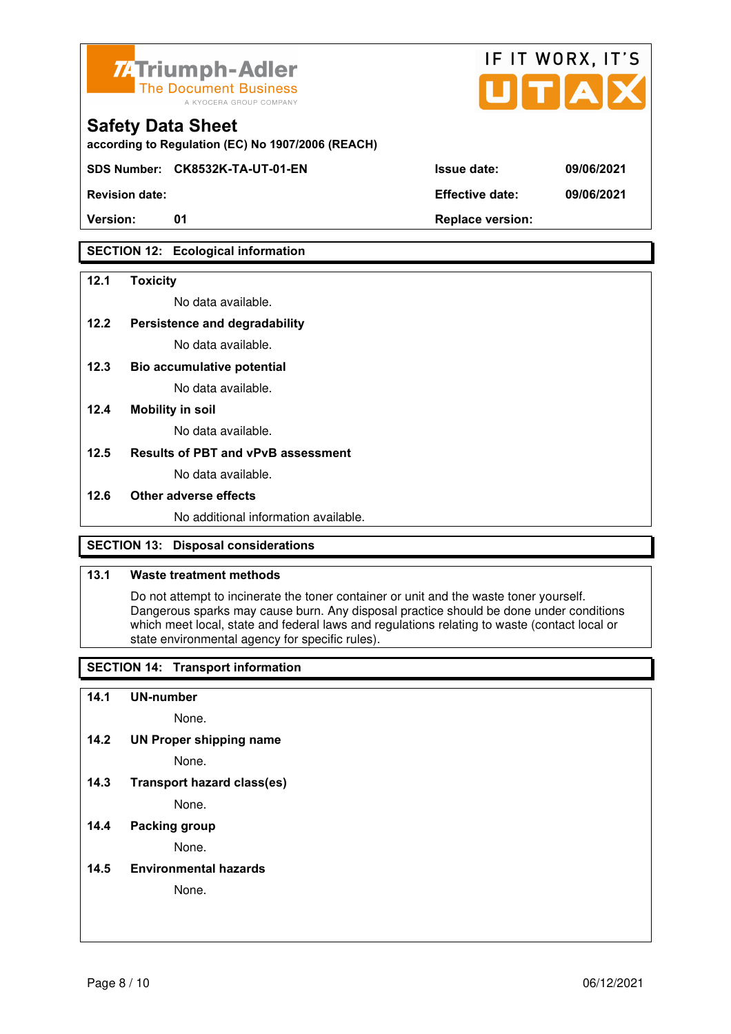

**according to Regulation (EC) No 1907/2006 (REACH)**

**SDS Number: CK8532K-TA-UT-01-EN Issue date: 09/06/2021** 

Version: 01 01 **Replace version:** 

# **SECTION 12: Ecological information**

#### **12.1 Toxicity**

No data available.

#### **12.2 Persistence and degradability**

No data available.

**12.3 Bio accumulative potential** 

No data available.

#### **12.4 Mobility in soil**

No data available.

#### **12.5 Results of PBT and vPvB assessment**

No data available.

#### **12.6 Other adverse effects**

No additional information available.

# **SECTION 13: Disposal considerations**

#### **13.1 Waste treatment methods**

 Do not attempt to incinerate the toner container or unit and the waste toner yourself. Dangerous sparks may cause burn. Any disposal practice should be done under conditions which meet local, state and federal laws and regulations relating to waste (contact local or state environmental agency for specific rules).

# **SECTION 14: Transport information**

#### **14.1 UN-number**

None.

**14.2 UN Proper shipping name** 

None.

**14.3 Transport hazard class(es)** 

None.

### **14.4 Packing group**

None.

#### **14.5 Environmental hazards**

None.

| <b>Revision date:</b> | <b>Effective date:</b> | 09/06/2021 |
|-----------------------|------------------------|------------|

IF IT WORX, IT'S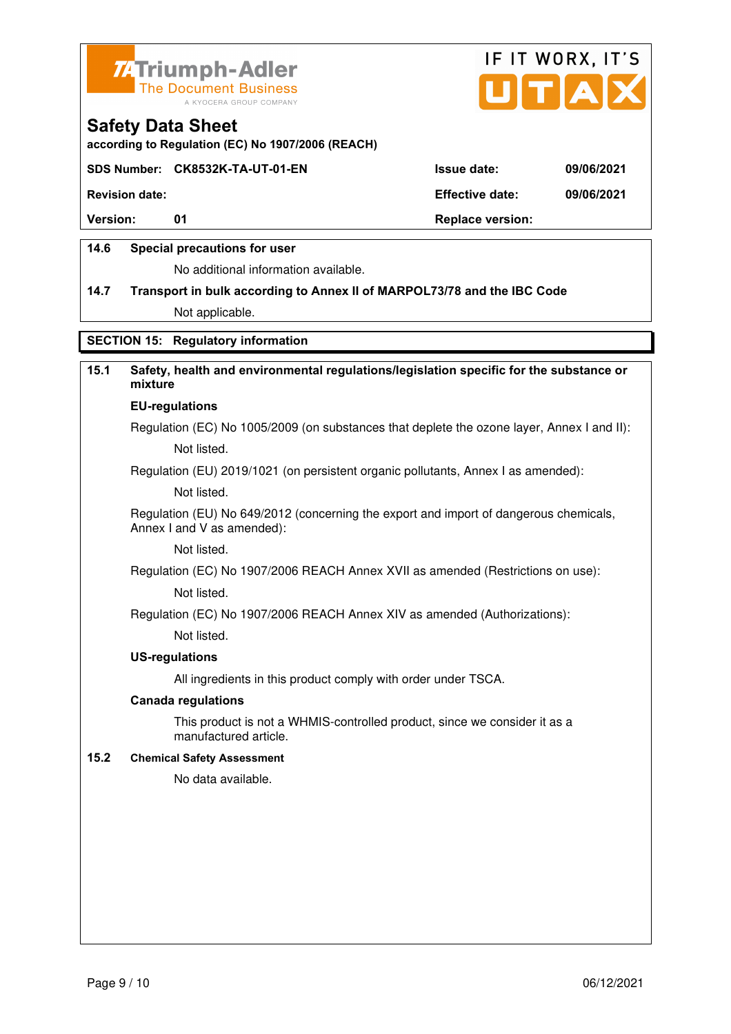



**according to Regulation (EC) No 1907/2006 (REACH)**

#### **SDS Number: CK8532K-TA-UT-01-EN Issue date: 09/06/2021**

**Revision date: Effective date: 09/06/2021** 

**Version:** 01 **Depending to 201 Replace version:** 

### **14.6 Special precautions for user**

No additional information available.

# **14.7 Transport in bulk according to Annex II of MARPOL73/78 and the IBC Code**

Not applicable.

### **SECTION 15: Regulatory information**

# **15.1 Safety, health and environmental regulations/legislation specific for the substance or mixture**

#### **EU-regulations**

Regulation (EC) No 1005/2009 (on substances that deplete the ozone layer, Annex I and II): Not listed.

Regulation (EU) 2019/1021 (on persistent organic pollutants, Annex I as amended):

Not listed.

 Regulation (EU) No 649/2012 (concerning the export and import of dangerous chemicals, Annex I and V as amended):

Not listed.

 Regulation (EC) No 1907/2006 REACH Annex XVII as amended (Restrictions on use): Not listed.

Regulation (EC) No 1907/2006 REACH Annex XIV as amended (Authorizations):

Not listed.

#### **US-regulations**

All ingredients in this product comply with order under TSCA.

#### **Canada regulations**

 This product is not a WHMIS-controlled product, since we consider it as a manufactured article.

#### **15.2 Chemical Safety Assessment**

No data available.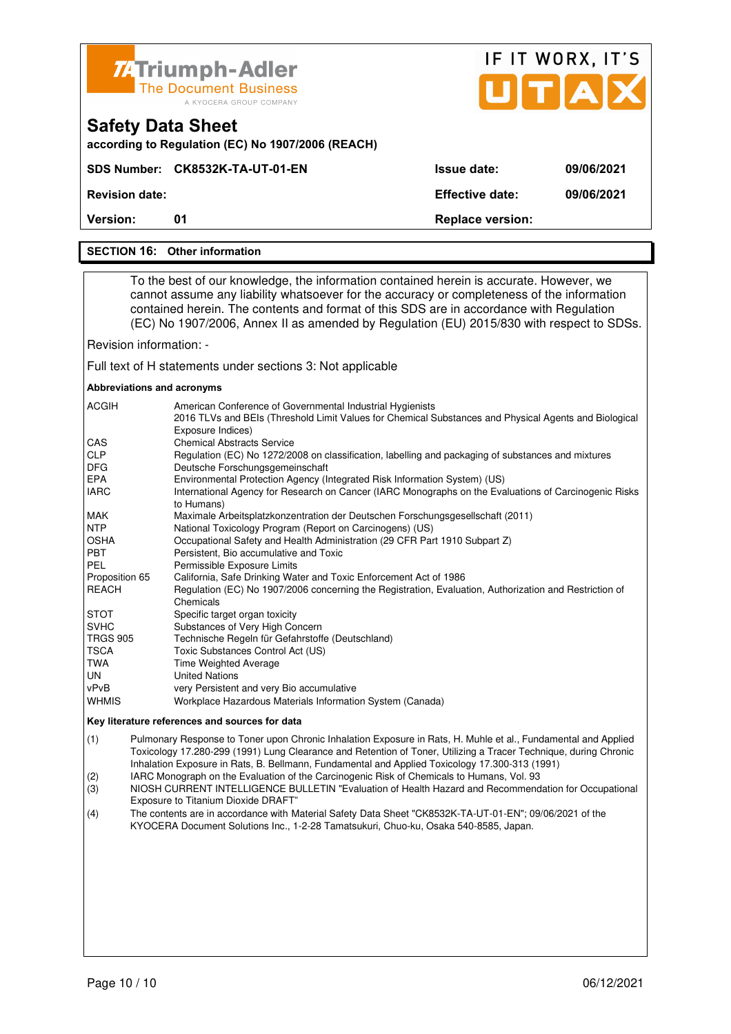| <b>74 Triumph-Adler</b><br><b>The Document Business</b> |  |
|---------------------------------------------------------|--|
| A KYOCERA GROUP COMPANY                                 |  |

| <b>74 Triumph-Adler</b><br>The Document Business<br>A KYOCERA GROUP COMPANY   |                        | IF II WURA. II 5<br>UTAX |
|-------------------------------------------------------------------------------|------------------------|--------------------------|
| <b>Safety Data Sheet</b><br>according to Regulation (EC) No 1907/2006 (REACH) |                        |                          |
| SDS Number: CK8532K-TA-UT-01-EN                                               | <b>Issue date:</b>     | 09/06/2021               |
| <b>Revision date:</b>                                                         | <b>Effective date:</b> | 09/06/2021               |

 $F \times M \times N$ 

 $\sim$   $\sim$   $\sim$ 

**Version:** 01 **Replace version: 01 Replace version:** 

#### **SECTION 16: Other information**

 To the best of our knowledge, the information contained herein is accurate. However, we cannot assume any liability whatsoever for the accuracy or completeness of the information contained herein. The contents and format of this SDS are in accordance with Regulation (EC) No 1907/2006, Annex II as amended by Regulation (EU) 2015/830 with respect to SDSs.

Revision information: -

Full text of H statements under sections 3: Not applicable

#### **Abbreviations and acronyms**

| <b>ACGIH</b>    | American Conference of Governmental Industrial Hygienists                                                                  |
|-----------------|----------------------------------------------------------------------------------------------------------------------------|
|                 | 2016 TLVs and BEIs (Threshold Limit Values for Chemical Substances and Physical Agents and Biological<br>Exposure Indices) |
| <b>CAS</b>      | <b>Chemical Abstracts Service</b>                                                                                          |
| <b>CLP</b>      | Regulation (EC) No 1272/2008 on classification, labelling and packaging of substances and mixtures                         |
| <b>DFG</b>      | Deutsche Forschungsgemeinschaft                                                                                            |
| <b>EPA</b>      | Environmental Protection Agency (Integrated Risk Information System) (US)                                                  |
| <b>IARC</b>     | International Agency for Research on Cancer (IARC Monographs on the Evaluations of Carcinogenic Risks<br>to Humans)        |
| MAK             | Maximale Arbeitsplatzkonzentration der Deutschen Forschungsgesellschaft (2011)                                             |
| <b>NTP</b>      | National Toxicology Program (Report on Carcinogens) (US)                                                                   |
| <b>OSHA</b>     | Occupational Safety and Health Administration (29 CFR Part 1910 Subpart Z)                                                 |
| <b>PBT</b>      | Persistent, Bio accumulative and Toxic                                                                                     |
| PEL             | Permissible Exposure Limits                                                                                                |
| Proposition 65  | California, Safe Drinking Water and Toxic Enforcement Act of 1986                                                          |
| <b>REACH</b>    | Regulation (EC) No 1907/2006 concerning the Registration, Evaluation, Authorization and Restriction of                     |
|                 | Chemicals                                                                                                                  |
| <b>STOT</b>     | Specific target organ toxicity                                                                                             |
| <b>SVHC</b>     | Substances of Very High Concern                                                                                            |
| <b>TRGS 905</b> | Technische Regeln für Gefahrstoffe (Deutschland)                                                                           |
| <b>TSCA</b>     | Toxic Substances Control Act (US)                                                                                          |
| TWA             | Time Weighted Average                                                                                                      |
| UN.             | <b>United Nations</b>                                                                                                      |
| vPvB            | very Persistent and very Bio accumulative                                                                                  |
| <b>WHMIS</b>    | Workplace Hazardous Materials Information System (Canada)                                                                  |

#### **Key literature references and sources for data**

(1) Pulmonary Response to Toner upon Chronic Inhalation Exposure in Rats, H. Muhle et al., Fundamental and Applied Toxicology 17.280-299 (1991) Lung Clearance and Retention of Toner, Utilizing a Tracer Technique, during Chronic Inhalation Exposure in Rats, B. Bellmann, Fundamental and Applied Toxicology 17.300-313 (1991)

(2) IARC Monograph on the Evaluation of the Carcinogenic Risk of Chemicals to Humans, Vol. 93

(3) NIOSH CURRENT INTELLIGENCE BULLETIN "Evaluation of Health Hazard and Recommendation for Occupational Exposure to Titanium Dioxide DRAFT"

(4) The contents are in accordance with Material Safety Data Sheet "CK8532K-TA-UT-01-EN"; 09/06/2021 of the KYOCERA Document Solutions Inc., 1-2-28 Tamatsukuri, Chuo-ku, Osaka 540-8585, Japan.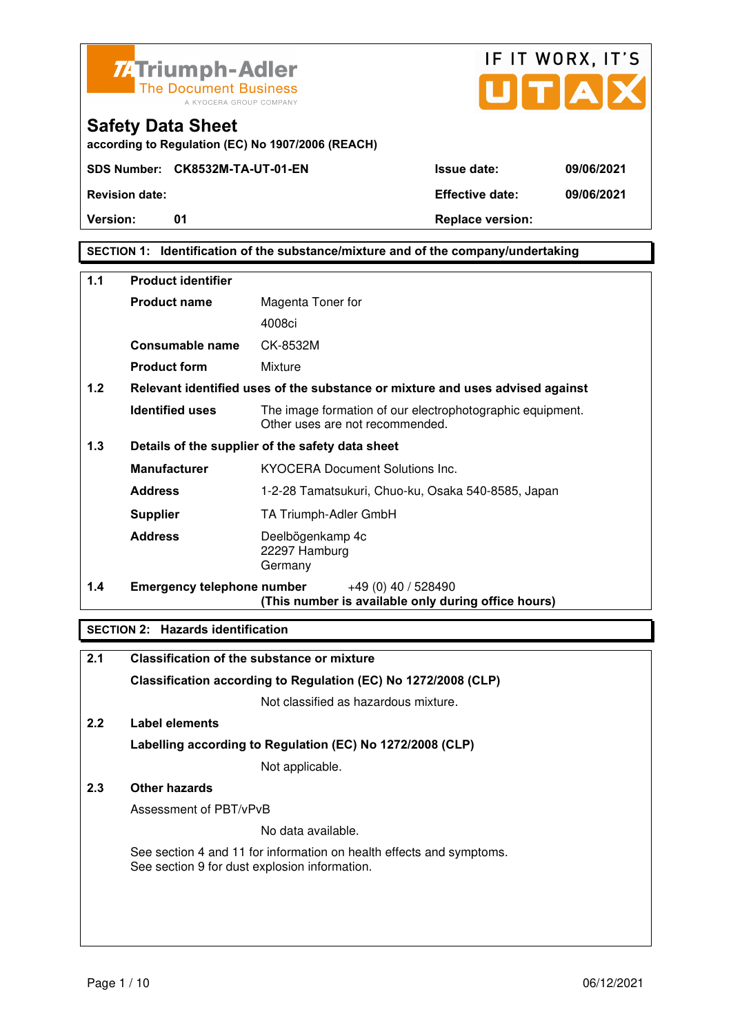



**according to Regulation (EC) No 1907/2006 (REACH)**

**Version:** 01 **Depending to Provide Contract Provide Contract Provide Contract Provide Contract Provide Contract Provide Contract Provide Contract Provide Contract Provide Contract Provide Contract Provide Contract Provide** 

# **SECTION 1: Identification of the substance/mixture and of the company/undertaking**

| 1.1 | <b>Product identifier</b>         |                                                                                              |  |
|-----|-----------------------------------|----------------------------------------------------------------------------------------------|--|
|     | <b>Product name</b>               | Magenta Toner for                                                                            |  |
|     |                                   | 4008ci                                                                                       |  |
|     | Consumable name                   | CK-8532M                                                                                     |  |
|     | <b>Product form</b>               | Mixture                                                                                      |  |
| 1.2 |                                   | Relevant identified uses of the substance or mixture and uses advised against                |  |
|     | <b>Identified uses</b>            | The image formation of our electrophotographic equipment.<br>Other uses are not recommended. |  |
| 1.3 |                                   | Details of the supplier of the safety data sheet                                             |  |
|     | <b>Manufacturer</b>               | <b>KYOCERA Document Solutions Inc.</b>                                                       |  |
|     | <b>Address</b>                    | 1-2-28 Tamatsukuri, Chuo-ku, Osaka 540-8585, Japan                                           |  |
|     | <b>Supplier</b>                   | TA Triumph-Adler GmbH                                                                        |  |
|     | <b>Address</b>                    | Deelbögenkamp 4c<br>22297 Hamburg<br>Germany                                                 |  |
| 1.4 | <b>Emergency telephone number</b> | $+49(0)$ 40 / 528490<br>(This number is available only during office hours)                  |  |

# **SECTION 2: Hazards identification**

| 2.1 | <b>Classification of the substance or mixture</b>                                                                     |
|-----|-----------------------------------------------------------------------------------------------------------------------|
|     | Classification according to Regulation (EC) No 1272/2008 (CLP)                                                        |
|     | Not classified as hazardous mixture.                                                                                  |
| 2.2 | Label elements                                                                                                        |
|     | Labelling according to Regulation (EC) No 1272/2008 (CLP)                                                             |
|     | Not applicable.                                                                                                       |
| 2.3 | Other hazards                                                                                                         |
|     | Assessment of PBT/vPvB                                                                                                |
|     | No data available.                                                                                                    |
|     | See section 4 and 11 for information on health effects and symptoms.<br>See section 9 for dust explosion information. |
|     |                                                                                                                       |
|     |                                                                                                                       |
|     |                                                                                                                       |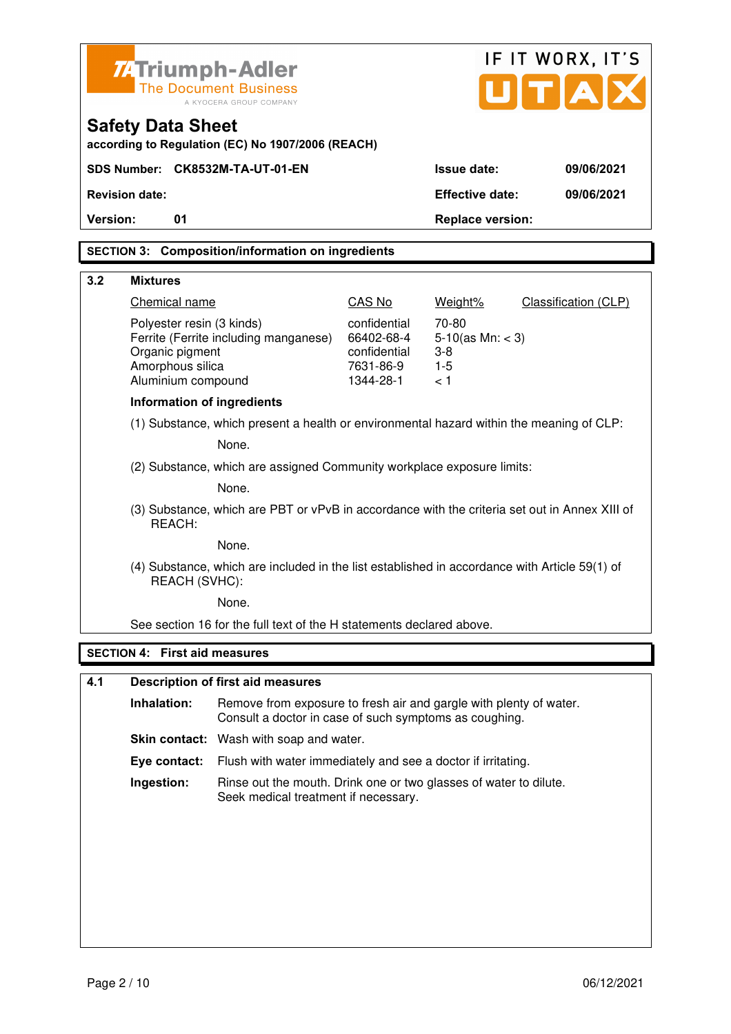|                                                                                                                | <b>ZATriumph-Adler</b>                                                                   |                                                                                                                              |                                                                      |                                                         | IF IT WORX, IT'S     |
|----------------------------------------------------------------------------------------------------------------|------------------------------------------------------------------------------------------|------------------------------------------------------------------------------------------------------------------------------|----------------------------------------------------------------------|---------------------------------------------------------|----------------------|
|                                                                                                                |                                                                                          | <b>The Document Business</b><br>A KYOCERA GROUP COMPANY                                                                      |                                                                      |                                                         | U[T A]               |
|                                                                                                                | <b>Safety Data Sheet</b>                                                                 | according to Regulation (EC) No 1907/2006 (REACH)                                                                            |                                                                      |                                                         |                      |
|                                                                                                                |                                                                                          | SDS Number: CK8532M-TA-UT-01-EN                                                                                              |                                                                      | <b>Issue date:</b>                                      | 09/06/2021           |
|                                                                                                                | <b>Revision date:</b>                                                                    |                                                                                                                              |                                                                      | <b>Effective date:</b>                                  | 09/06/2021           |
| Version:                                                                                                       | 01                                                                                       |                                                                                                                              |                                                                      | <b>Replace version:</b>                                 |                      |
|                                                                                                                |                                                                                          | <b>SECTION 3: Composition/information on ingredients</b>                                                                     |                                                                      |                                                         |                      |
| 3.2                                                                                                            | <b>Mixtures</b>                                                                          |                                                                                                                              |                                                                      |                                                         |                      |
|                                                                                                                | Chemical name                                                                            |                                                                                                                              | CAS No                                                               | Weight%                                                 | Classification (CLP) |
|                                                                                                                | Polyester resin (3 kinds)<br>Organic pigment<br>Amorphous silica<br>Aluminium compound   | Ferrite (Ferrite including manganese)                                                                                        | confidential<br>66402-68-4<br>confidential<br>7631-86-9<br>1344-28-1 | 70-80<br>$5-10$ (as Mn: < 3)<br>$3-8$<br>$1 - 5$<br>< 1 |                      |
|                                                                                                                | <b>Information of ingredients</b>                                                        |                                                                                                                              |                                                                      |                                                         |                      |
|                                                                                                                | (1) Substance, which present a health or environmental hazard within the meaning of CLP: |                                                                                                                              |                                                                      |                                                         |                      |
|                                                                                                                |                                                                                          | None.                                                                                                                        |                                                                      |                                                         |                      |
|                                                                                                                |                                                                                          | (2) Substance, which are assigned Community workplace exposure limits:                                                       |                                                                      |                                                         |                      |
|                                                                                                                |                                                                                          | None.                                                                                                                        |                                                                      |                                                         |                      |
|                                                                                                                | REACH:                                                                                   | (3) Substance, which are PBT or vPvB in accordance with the criteria set out in Annex XIII of                                |                                                                      |                                                         |                      |
|                                                                                                                |                                                                                          | None.                                                                                                                        |                                                                      |                                                         |                      |
| (4) Substance, which are included in the list established in accordance with Article 59(1) of<br>REACH (SVHC): |                                                                                          |                                                                                                                              |                                                                      |                                                         |                      |
|                                                                                                                |                                                                                          | None.                                                                                                                        |                                                                      |                                                         |                      |
|                                                                                                                |                                                                                          | See section 16 for the full text of the H statements declared above.                                                         |                                                                      |                                                         |                      |
|                                                                                                                | <b>SECTION 4: First aid measures</b>                                                     |                                                                                                                              |                                                                      |                                                         |                      |
| 4.1                                                                                                            |                                                                                          | <b>Description of first aid measures</b>                                                                                     |                                                                      |                                                         |                      |
|                                                                                                                | Inhalation:                                                                              | Remove from exposure to fresh air and gargle with plenty of water.<br>Consult a doctor in case of such symptoms as coughing. |                                                                      |                                                         |                      |
|                                                                                                                | <b>Skin contact:</b> Wash with soap and water.                                           |                                                                                                                              |                                                                      |                                                         |                      |
|                                                                                                                | Eye contact:                                                                             | Flush with water immediately and see a doctor if irritating.                                                                 |                                                                      |                                                         |                      |

 **Ingestion:** Rinse out the mouth. Drink one or two glasses of water to dilute. Seek medical treatment if necessary.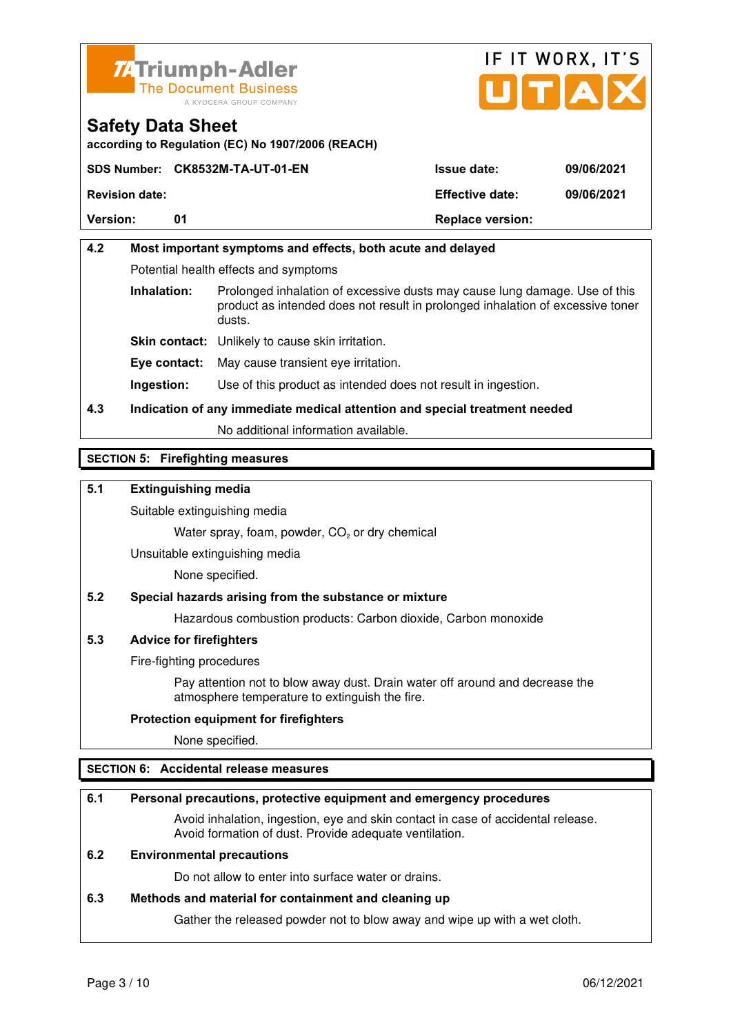



**according to Regulation (EC) No 1907/2006 (REACH)**

|                       | SDS Number: CK8532M-TA-UT-01-EN | <b>Issue date:</b>      | 09/06/2021 |
|-----------------------|---------------------------------|-------------------------|------------|
| <b>Revision date:</b> |                                 | <b>Effective date:</b>  | 09/06/2021 |
| <b>Version:</b>       | 01                              | <b>Replace version:</b> |            |

# **4.2 Most important symptoms and effects, both acute and delayed**  Potential health effects and symptoms **Inhalation:** Prolonged inhalation of excessive dusts may cause lung damage. Use of this product as intended does not result in prolonged inhalation of excessive toner dusts. **Skin contact:** Unlikely to cause skin irritation. **Eye contact:** May cause transient eye irritation.

**Ingestion:** Use of this product as intended does not result in ingestion.

# **4.3 Indication of any immediate medical attention and special treatment needed**

No additional information available.

# **SECTION 5: Firefighting measures**

# **5.1 Extinguishing media**

Suitable extinguishing media

Water spray, foam, powder,  $CO<sub>2</sub>$  or dry chemical

Unsuitable extinguishing media

None specified.

# **5.2 Special hazards arising from the substance or mixture**

Hazardous combustion products: Carbon dioxide, Carbon monoxide

#### **5.3 Advice for firefighters**

Fire-fighting procedures

 Pay attention not to blow away dust. Drain water off around and decrease the atmosphere temperature to extinguish the fire.

#### **Protection equipment for firefighters**

None specified.

# **SECTION 6: Accidental release measures**

#### **6.1 Personal precautions, protective equipment and emergency procedures**

 Avoid inhalation, ingestion, eye and skin contact in case of accidental release. Avoid formation of dust. Provide adequate ventilation.

### **6.2 Environmental precautions**

Do not allow to enter into surface water or drains.

#### **6.3 Methods and material for containment and cleaning up**

Gather the released powder not to blow away and wipe up with a wet cloth.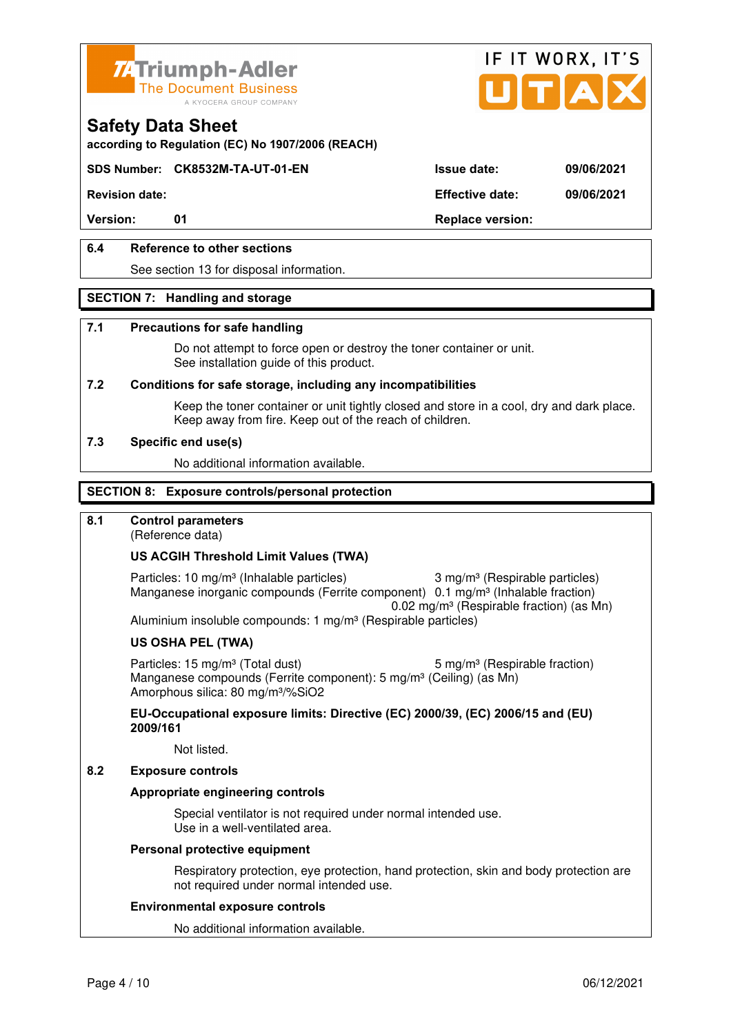



**according to Regulation (EC) No 1907/2006 (REACH)**

### **SDS Number: CK8532M-TA-UT-01-EN Issue date: 09/06/2021**

**Revision date: Effective date: 09/06/2021** 

Version: 01 01 **Replace version:** 

### **6.4 Reference to other sections**

See section 13 for disposal information.

#### **SECTION 7: Handling and storage**

#### **7.1 Precautions for safe handling**

 Do not attempt to force open or destroy the toner container or unit. See installation guide of this product.

#### **7.2 Conditions for safe storage, including any incompatibilities**

Keep the toner container or unit tightly closed and store in a cool, dry and dark place. Keep away from fire. Keep out of the reach of children.

#### **7.3 Specific end use(s)**

No additional information available.

#### **SECTION 8: Exposure controls/personal protection**

### **8.1 Control parameters**

(Reference data)

#### **US ACGIH Threshold Limit Values (TWA)**

Particles: 10 mg/m<sup>3</sup> (Inhalable particles) 3 mg/m<sup>3</sup> (Respirable particles) Manganese inorganic compounds (Ferrite component) 0.1 mg/m<sup>3</sup> (Inhalable fraction) 0.02 mg/m³ (Respirable fraction) (as Mn) Aluminium insoluble compounds: 1 mg/m<sup>3</sup> (Respirable particles)

#### **US OSHA PEL (TWA)**

Particles: 15 mg/m<sup>3</sup> (Total dust) 5 mg/m<sup>3</sup> (Respirable fraction) Manganese compounds (Ferrite component): 5 mg/m<sup>3</sup> (Ceiling) (as Mn) Amorphous silica: 80 mg/m³/%SiO2

**EU-Occupational exposure limits: Directive (EC) 2000/39, (EC) 2006/15 and (EU) 2009/161**

Not listed.

#### **8.2 Exposure controls**

#### **Appropriate engineering controls**

 Special ventilator is not required under normal intended use. Use in a well-ventilated area.

#### **Personal protective equipment**

 Respiratory protection, eye protection, hand protection, skin and body protection are not required under normal intended use.

#### **Environmental exposure controls**

No additional information available.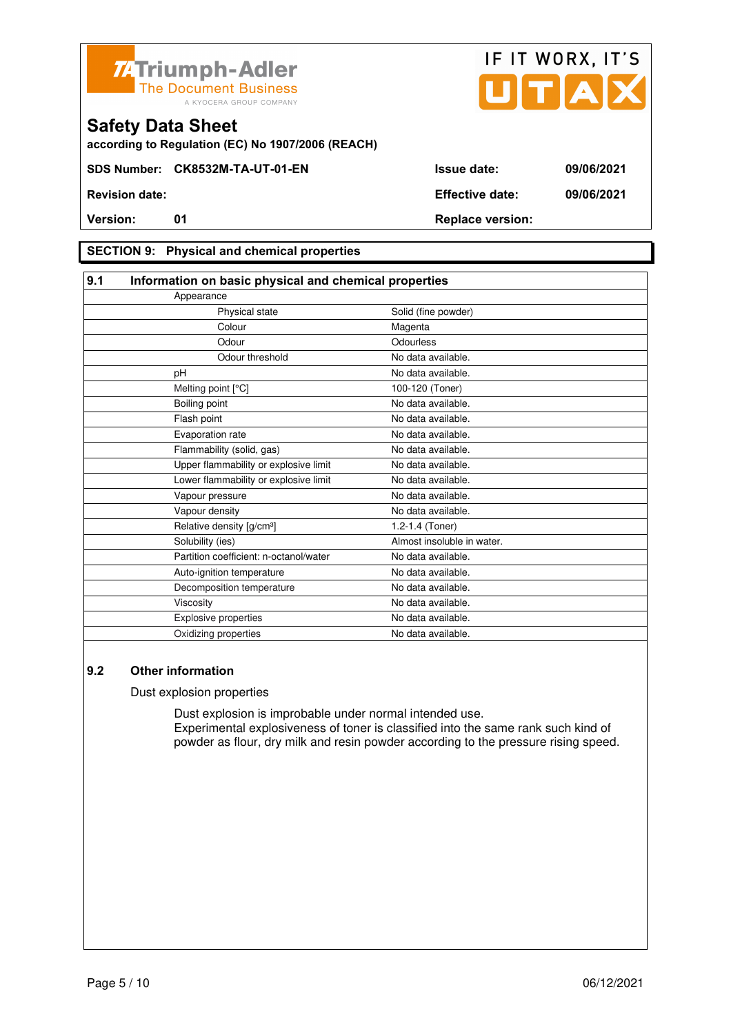



**according to Regulation (EC) No 1907/2006 (REACH)**

### **SECTION 9: Physical and chemical properties**

| 9.1<br>Information on basic physical and chemical properties |                            |  |
|--------------------------------------------------------------|----------------------------|--|
| Appearance                                                   |                            |  |
| Physical state                                               | Solid (fine powder)        |  |
| Colour                                                       | Magenta                    |  |
| Odour                                                        | Odourless                  |  |
| Odour threshold                                              | No data available.         |  |
| pH                                                           | No data available.         |  |
| Melting point [°C]                                           | 100-120 (Toner)            |  |
| Boiling point                                                | No data available.         |  |
| Flash point                                                  | No data available.         |  |
| Evaporation rate                                             | No data available.         |  |
| Flammability (solid, gas)                                    | No data available.         |  |
| Upper flammability or explosive limit                        | No data available.         |  |
| Lower flammability or explosive limit                        | No data available.         |  |
| Vapour pressure                                              | No data available.         |  |
| Vapour density                                               | No data available.         |  |
| Relative density [g/cm <sup>3</sup> ]                        | 1.2-1.4 (Toner)            |  |
| Solubility (ies)                                             | Almost insoluble in water. |  |
| Partition coefficient: n-octanol/water                       | No data available.         |  |
| Auto-ignition temperature                                    | No data available.         |  |
| Decomposition temperature                                    | No data available.         |  |
| Viscosity                                                    | No data available.         |  |
| <b>Explosive properties</b>                                  | No data available.         |  |
| Oxidizing properties                                         | No data available.         |  |

### **9.2 Other information**

Dust explosion properties

 Dust explosion is improbable under normal intended use. Experimental explosiveness of toner is classified into the same rank such kind of powder as flour, dry milk and resin powder according to the pressure rising speed.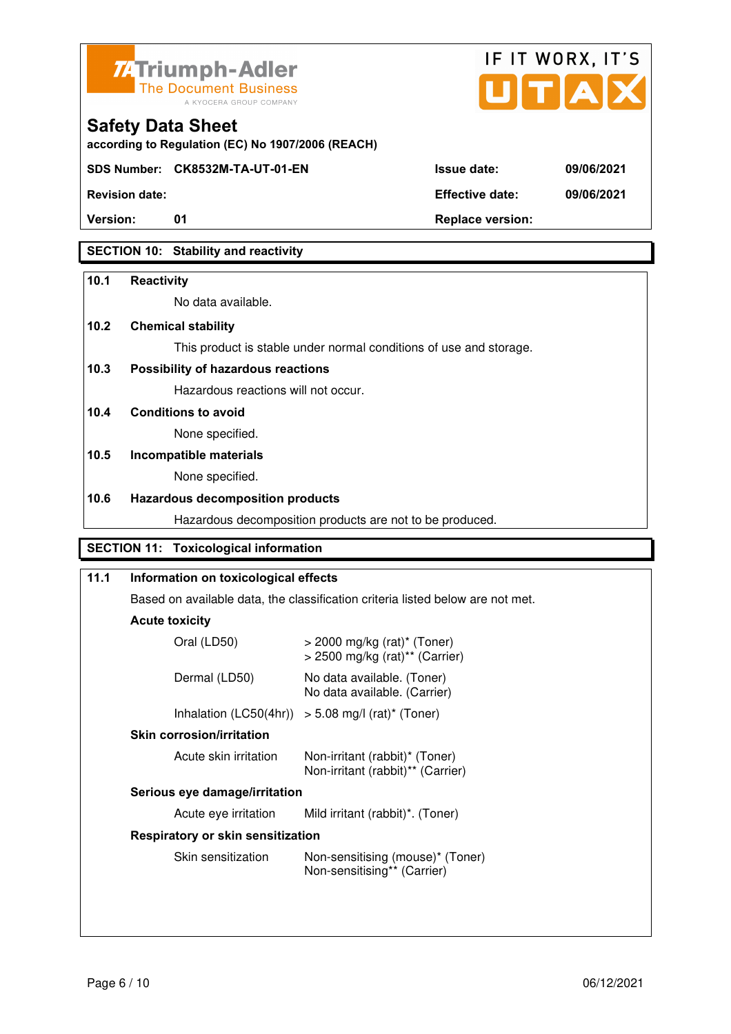



**according to Regulation (EC) No 1907/2006 (REACH)**

**SDS Number: CK8532M-TA-UT-01-EN Issue date: 09/06/2021** 

**Revision date: Effective date: 09/06/2021** 

**Version:** 01 01 Replace version:

# **SECTION 10: Stability and reactivity**

### **10.1 Reactivity**

No data available.

# **10.2 Chemical stability**

This product is stable under normal conditions of use and storage.

# **10.3 Possibility of hazardous reactions**

Hazardous reactions will not occur.

**10.4 Conditions to avoid** 

None specified.

# **10.5 Incompatible materials**

None specified.

### **10.6 Hazardous decomposition products**

Hazardous decomposition products are not to be produced.

# **SECTION 11: Toxicological information**

# **11.1 Information on toxicological effects**  Based on available data, the classification criteria listed below are not met. **Acute toxicity** Oral (LD50) > 2000 mg/kg (rat)\* (Toner) > 2500 mg/kg (rat)\*\* (Carrier) Dermal (LD50) No data available. (Toner) No data available. (Carrier) Inhalation  $(LC50(4hr)) > 5.08$  mg/l  $(rat)^*$  (Toner)  **Skin corrosion/irritation** Acute skin irritation Non-irritant (rabbit)\* (Toner) Non-irritant (rabbit)\*\* (Carrier)  **Serious eye damage/irritation** Acute eye irritation Mild irritant (rabbit)\*. (Toner)  **Respiratory or skin sensitization**  Skin sensitization Mon-sensitising (mouse)\* (Toner) Non-sensitising\*\* (Carrier)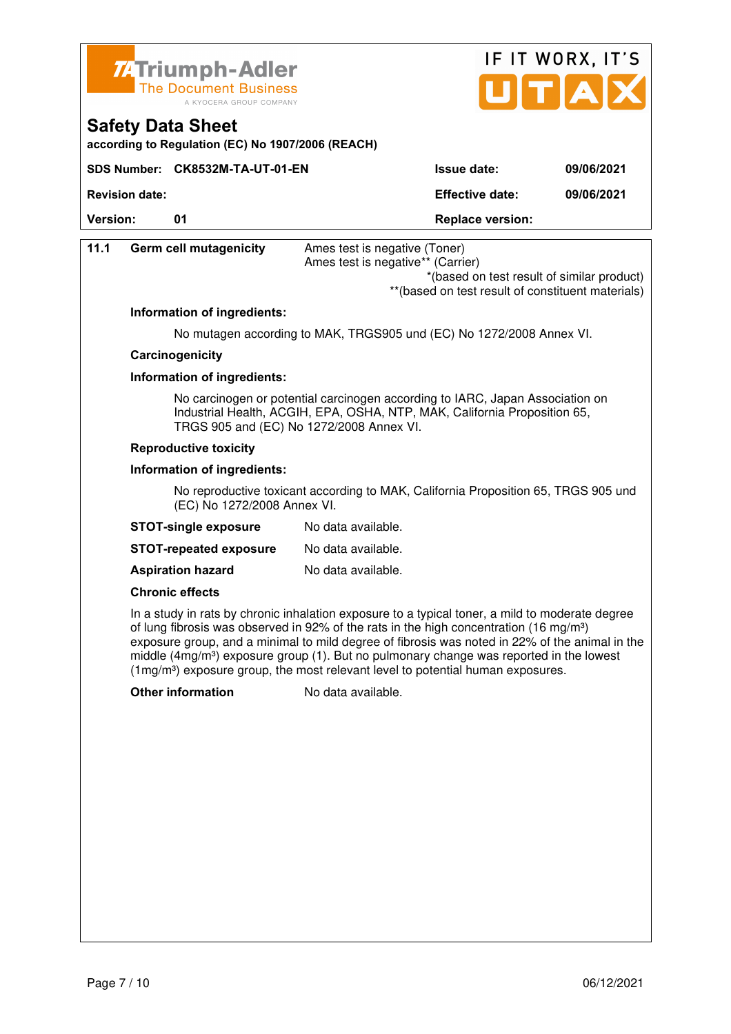



**according to Regulation (EC) No 1907/2006 (REACH)**

|                       | SDS Number: CK8532M-TA-UT-01-EN | <b>Issue date:</b>      | 09/06/2021 |
|-----------------------|---------------------------------|-------------------------|------------|
| <b>Revision date:</b> |                                 | <b>Effective date:</b>  | 09/06/2021 |
| <b>Version:</b>       |                                 | <b>Replace version:</b> |            |

| *(based on test result of similar product)<br>** (based on test result of constituent materials)                                                                                                                                                                                                                                                                                                    |
|-----------------------------------------------------------------------------------------------------------------------------------------------------------------------------------------------------------------------------------------------------------------------------------------------------------------------------------------------------------------------------------------------------|
|                                                                                                                                                                                                                                                                                                                                                                                                     |
|                                                                                                                                                                                                                                                                                                                                                                                                     |
|                                                                                                                                                                                                                                                                                                                                                                                                     |
|                                                                                                                                                                                                                                                                                                                                                                                                     |
| No mutagen according to MAK, TRGS905 und (EC) No 1272/2008 Annex VI.                                                                                                                                                                                                                                                                                                                                |
|                                                                                                                                                                                                                                                                                                                                                                                                     |
|                                                                                                                                                                                                                                                                                                                                                                                                     |
| No carcinogen or potential carcinogen according to IARC, Japan Association on<br>Industrial Health, ACGIH, EPA, OSHA, NTP, MAK, California Proposition 65,                                                                                                                                                                                                                                          |
|                                                                                                                                                                                                                                                                                                                                                                                                     |
|                                                                                                                                                                                                                                                                                                                                                                                                     |
| No reproductive toxicant according to MAK, California Proposition 65, TRGS 905 und                                                                                                                                                                                                                                                                                                                  |
|                                                                                                                                                                                                                                                                                                                                                                                                     |
|                                                                                                                                                                                                                                                                                                                                                                                                     |
|                                                                                                                                                                                                                                                                                                                                                                                                     |
|                                                                                                                                                                                                                                                                                                                                                                                                     |
| In a study in rats by chronic inhalation exposure to a typical toner, a mild to moderate degree<br>of lung fibrosis was observed in 92% of the rats in the high concentration (16 mg/m <sup>3</sup> )<br>exposure group, and a minimal to mild degree of fibrosis was noted in 22% of the animal in the<br>middle $(4mg/m3)$ exposure group (1). But no pulmonary change was reported in the lowest |
|                                                                                                                                                                                                                                                                                                                                                                                                     |
|                                                                                                                                                                                                                                                                                                                                                                                                     |
|                                                                                                                                                                                                                                                                                                                                                                                                     |
|                                                                                                                                                                                                                                                                                                                                                                                                     |
|                                                                                                                                                                                                                                                                                                                                                                                                     |
|                                                                                                                                                                                                                                                                                                                                                                                                     |
|                                                                                                                                                                                                                                                                                                                                                                                                     |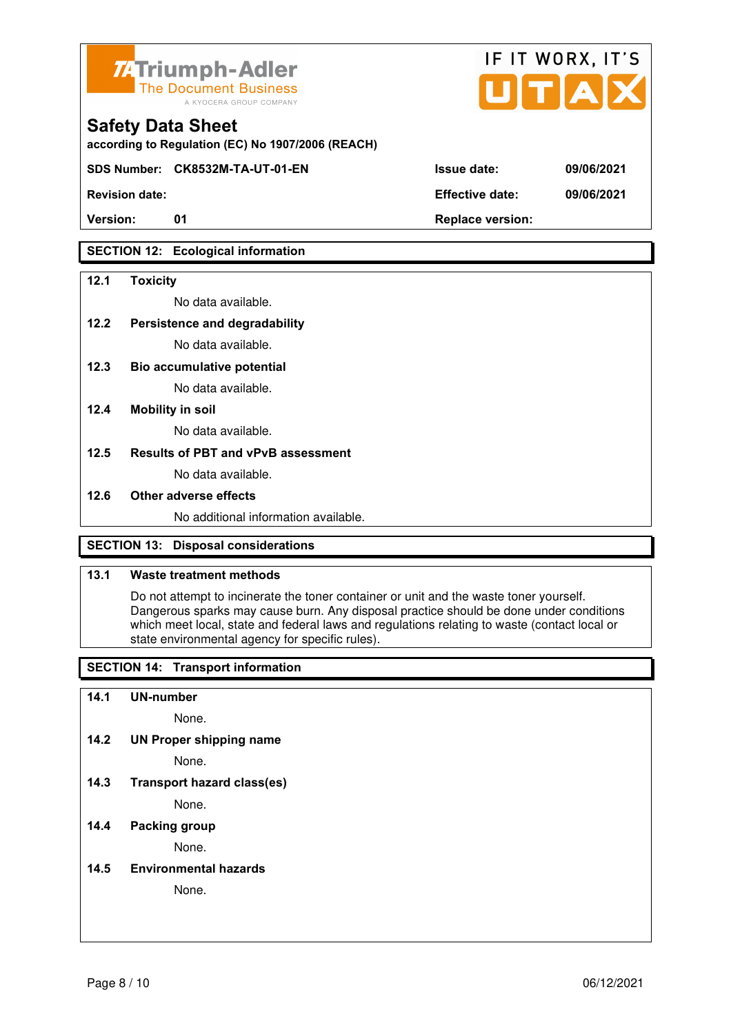

**according to Regulation (EC) No 1907/2006 (REACH)**

**SDS Number: CK8532M-TA-UT-01-EN Issue date: 09/06/2021** 

# **SECTION 12: Ecological information**

#### **12.1 Toxicity**

No data available.

#### **12.2 Persistence and degradability**

No data available.

**12.3 Bio accumulative potential** 

No data available.

#### **12.4 Mobility in soil**

No data available.

#### **12.5 Results of PBT and vPvB assessment**

No data available.

#### **12.6 Other adverse effects**

No additional information available.

### **SECTION 13: Disposal considerations**

#### **13.1 Waste treatment methods**

 Do not attempt to incinerate the toner container or unit and the waste toner yourself. Dangerous sparks may cause burn. Any disposal practice should be done under conditions which meet local, state and federal laws and regulations relating to waste (contact local or state environmental agency for specific rules).

### **SECTION 14: Transport information**

#### **14.1 UN-number**

None.

**14.2 UN Proper shipping name** 

None.

**14.3 Transport hazard class(es)** 

None.

### **14.4 Packing group**

None.

#### **14.5 Environmental hazards**

None.

| <b>Revision date:</b> | <b>Effective date:</b> | 09/06/2021 |
|-----------------------|------------------------|------------|

IF IT WORX, IT'S

Version: 01 01 **Replace version:**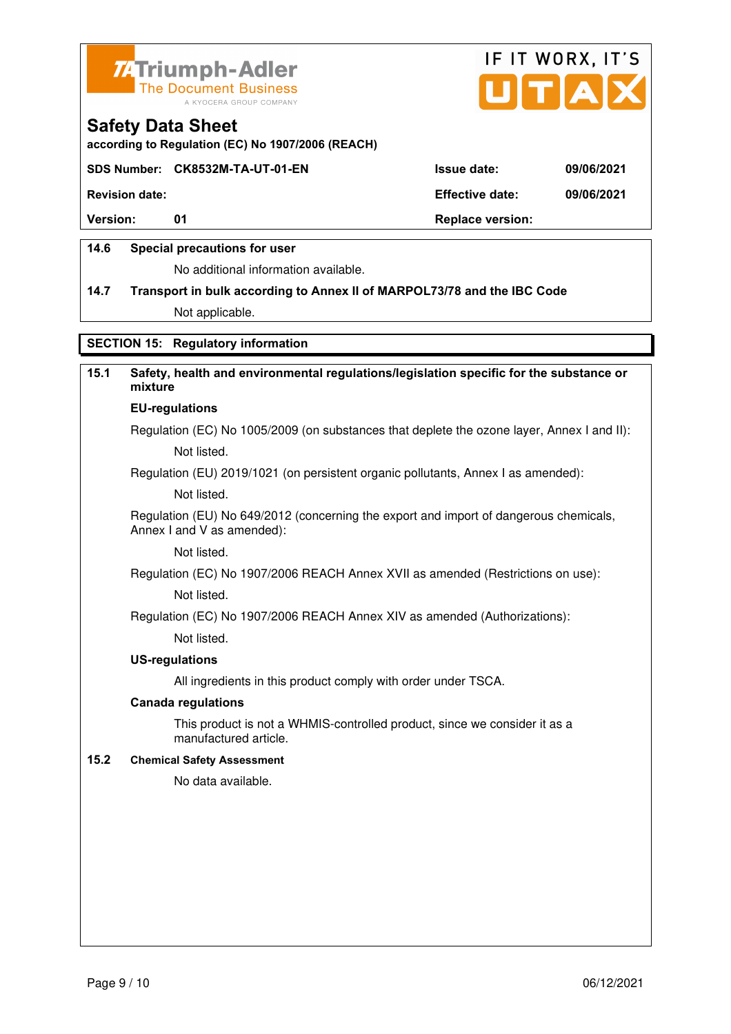



**according to Regulation (EC) No 1907/2006 (REACH)**

#### **SDS Number: CK8532M-TA-UT-01-EN Issue date: 09/06/2021**

**Revision date: Effective date: 09/06/2021** 

**Version:** 01 **Depending to 201 Replace version:** 

### **14.6 Special precautions for user**

No additional information available.

# **14.7 Transport in bulk according to Annex II of MARPOL73/78 and the IBC Code**

Not applicable.

### **SECTION 15: Regulatory information**

# **15.1 Safety, health and environmental regulations/legislation specific for the substance or mixture**

# **EU-regulations**

Regulation (EC) No 1005/2009 (on substances that deplete the ozone layer, Annex I and II): Not listed.

Regulation (EU) 2019/1021 (on persistent organic pollutants, Annex I as amended):

Not listed.

 Regulation (EU) No 649/2012 (concerning the export and import of dangerous chemicals, Annex I and V as amended):

Not listed.

 Regulation (EC) No 1907/2006 REACH Annex XVII as amended (Restrictions on use): Not listed.

Regulation (EC) No 1907/2006 REACH Annex XIV as amended (Authorizations):

Not listed.

#### **US-regulations**

All ingredients in this product comply with order under TSCA.

#### **Canada regulations**

 This product is not a WHMIS-controlled product, since we consider it as a manufactured article.

#### **15.2 Chemical Safety Assessment**

No data available.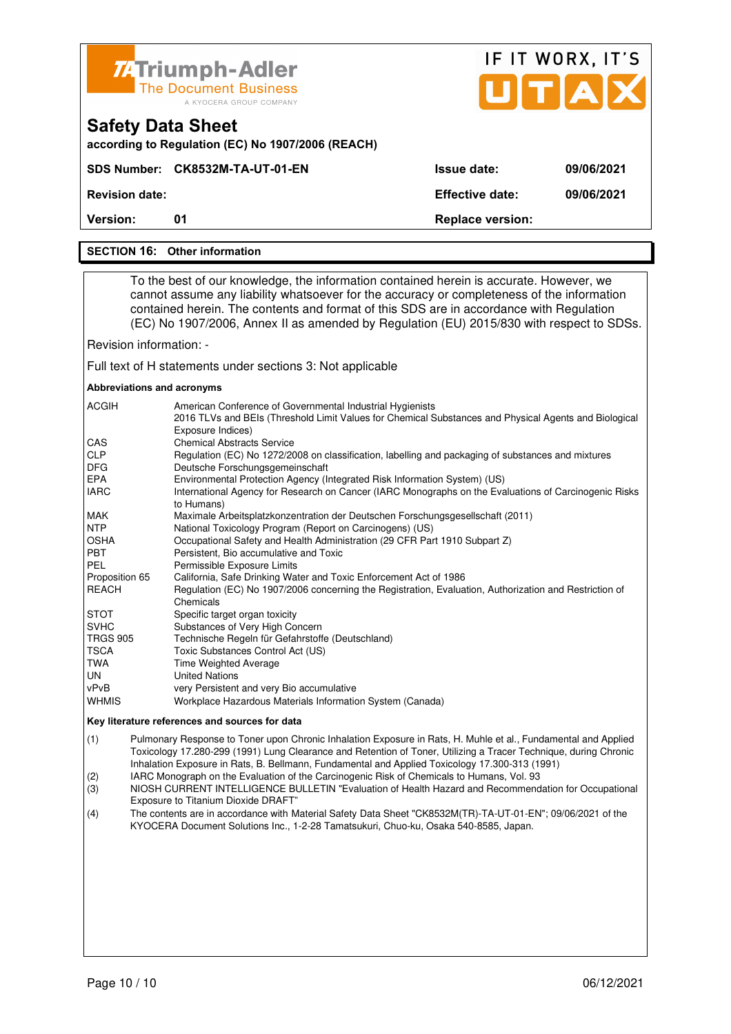| <b>74 Triumph-Adler</b><br><b>The Document Business</b> |
|---------------------------------------------------------|
| A KYOCERA GROUP COMPANY                                 |

|                    | IF IT WORX, IT'S<br>JITIAI |            |
|--------------------|----------------------------|------------|
|                    |                            |            |
| <b>Issue date:</b> |                            | 09/06/2021 |
|                    |                            |            |

**SDS Number: CK8532M-TA-UT-01-EN Revision date: Effective date: 09/06/2021 Version:** 01 **Replace version: 01 Replace version:** 

# **SECTION 16: Other information**

**Safety Data Sheet** 

 To the best of our knowledge, the information contained herein is accurate. However, we cannot assume any liability whatsoever for the accuracy or completeness of the information contained herein. The contents and format of this SDS are in accordance with Regulation (EC) No 1907/2006, Annex II as amended by Regulation (EU) 2015/830 with respect to SDSs.

Revision information: -

Full text of H statements under sections 3: Not applicable

#### **Abbreviations and acronyms**

| <b>ACGIH</b>    | American Conference of Governmental Industrial Hygienists<br>2016 TLVs and BEIs (Threshold Limit Values for Chemical Substances and Physical Agents and Biological<br>Exposure Indices) |
|-----------------|-----------------------------------------------------------------------------------------------------------------------------------------------------------------------------------------|
| CAS             | <b>Chemical Abstracts Service</b>                                                                                                                                                       |
| <b>CLP</b>      | Regulation (EC) No 1272/2008 on classification, labelling and packaging of substances and mixtures                                                                                      |
| <b>DFG</b>      | Deutsche Forschungsgemeinschaft                                                                                                                                                         |
| <b>EPA</b>      | Environmental Protection Agency (Integrated Risk Information System) (US)                                                                                                               |
| <b>IARC</b>     | International Agency for Research on Cancer (IARC Monographs on the Evaluations of Carcinogenic Risks<br>to Humans)                                                                     |
| <b>MAK</b>      | Maximale Arbeitsplatzkonzentration der Deutschen Forschungsgesellschaft (2011)                                                                                                          |
| <b>NTP</b>      | National Toxicology Program (Report on Carcinogens) (US)                                                                                                                                |
| <b>OSHA</b>     | Occupational Safety and Health Administration (29 CFR Part 1910 Subpart Z)                                                                                                              |
| <b>PBT</b>      | Persistent, Bio accumulative and Toxic                                                                                                                                                  |
| PEL             | Permissible Exposure Limits                                                                                                                                                             |
| Proposition 65  | California, Safe Drinking Water and Toxic Enforcement Act of 1986                                                                                                                       |
| REACH           | Regulation (EC) No 1907/2006 concerning the Registration, Evaluation, Authorization and Restriction of<br>Chemicals                                                                     |
| <b>STOT</b>     | Specific target organ toxicity                                                                                                                                                          |
| <b>SVHC</b>     | Substances of Very High Concern                                                                                                                                                         |
| <b>TRGS 905</b> | Technische Regeln für Gefahrstoffe (Deutschland)                                                                                                                                        |
| <b>TSCA</b>     | Toxic Substances Control Act (US)                                                                                                                                                       |
| TWA             | <b>Time Weighted Average</b>                                                                                                                                                            |
| UN              | <b>United Nations</b>                                                                                                                                                                   |
| vPvB            | very Persistent and very Bio accumulative                                                                                                                                               |
| <b>WHMIS</b>    | Workplace Hazardous Materials Information System (Canada)                                                                                                                               |

#### **Key literature references and sources for data**

(1) Pulmonary Response to Toner upon Chronic Inhalation Exposure in Rats, H. Muhle et al., Fundamental and Applied Toxicology 17.280-299 (1991) Lung Clearance and Retention of Toner, Utilizing a Tracer Technique, during Chronic Inhalation Exposure in Rats, B. Bellmann, Fundamental and Applied Toxicology 17.300-313 (1991)

(2) IARC Monograph on the Evaluation of the Carcinogenic Risk of Chemicals to Humans, Vol. 93

(3) NIOSH CURRENT INTELLIGENCE BULLETIN "Evaluation of Health Hazard and Recommendation for Occupational Exposure to Titanium Dioxide DRAFT"

(4) The contents are in accordance with Material Safety Data Sheet "CK8532M(TR)-TA-UT-01-EN"; 09/06/2021 of the KYOCERA Document Solutions Inc., 1-2-28 Tamatsukuri, Chuo-ku, Osaka 540-8585, Japan.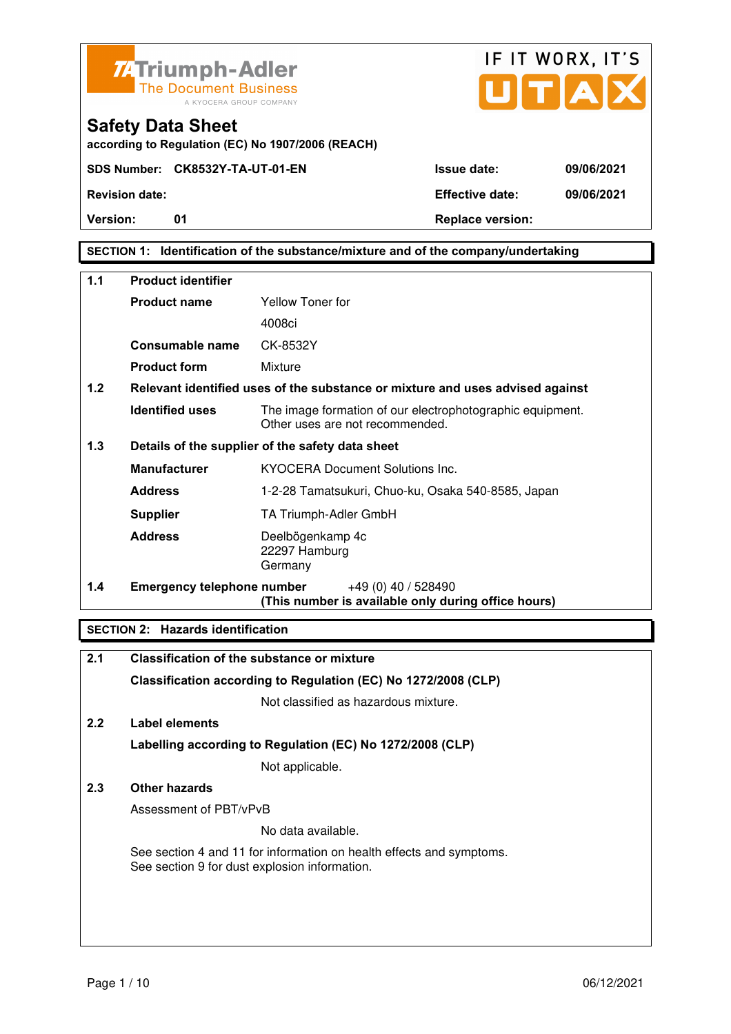



**according to Regulation (EC) No 1907/2006 (REACH)**

**Version:** 01 **Depending to Provide Contract Provide Contract Provide Contract Provide Contract Provide Contract Provide Contract Provide Contract Provide Contract Provide Contract Provide Contract Provide Contract Provide** 

# **SECTION 1: Identification of the substance/mixture and of the company/undertaking**

| 1.1 | <b>Product identifier</b>         |                                                                                              |
|-----|-----------------------------------|----------------------------------------------------------------------------------------------|
|     | <b>Product name</b>               | Yellow Toner for                                                                             |
|     |                                   | 4008ci                                                                                       |
|     | Consumable name                   | CK-8532Y                                                                                     |
|     | <b>Product form</b>               | Mixture                                                                                      |
| 1.2 |                                   | Relevant identified uses of the substance or mixture and uses advised against                |
|     | <b>Identified uses</b>            | The image formation of our electrophotographic equipment.<br>Other uses are not recommended. |
| 1.3 |                                   | Details of the supplier of the safety data sheet                                             |
|     | <b>Manufacturer</b>               | <b>KYOCERA Document Solutions Inc.</b>                                                       |
|     | <b>Address</b>                    | 1-2-28 Tamatsukuri, Chuo-ku, Osaka 540-8585, Japan                                           |
|     | <b>Supplier</b>                   | TA Triumph-Adler GmbH                                                                        |
|     | <b>Address</b>                    | Deelbögenkamp 4c<br>22297 Hamburg<br>Germany                                                 |
| 1.4 | <b>Emergency telephone number</b> | $+49(0)$ 40 / 528490<br>(This number is available only during office hours)                  |

#### **SECTION 2: Hazards identification**

| 2.1 | Classification of the substance or mixture                                                                            |
|-----|-----------------------------------------------------------------------------------------------------------------------|
|     | Classification according to Regulation (EC) No 1272/2008 (CLP)                                                        |
|     | Not classified as hazardous mixture.                                                                                  |
| 2.2 | Label elements                                                                                                        |
|     | Labelling according to Regulation (EC) No 1272/2008 (CLP)                                                             |
|     | Not applicable.                                                                                                       |
| 2.3 | Other hazards                                                                                                         |
|     | Assessment of PBT/vPvB                                                                                                |
|     | No data available.                                                                                                    |
|     | See section 4 and 11 for information on health effects and symptoms.<br>See section 9 for dust explosion information. |
|     |                                                                                                                       |
|     |                                                                                                                       |
|     |                                                                                                                       |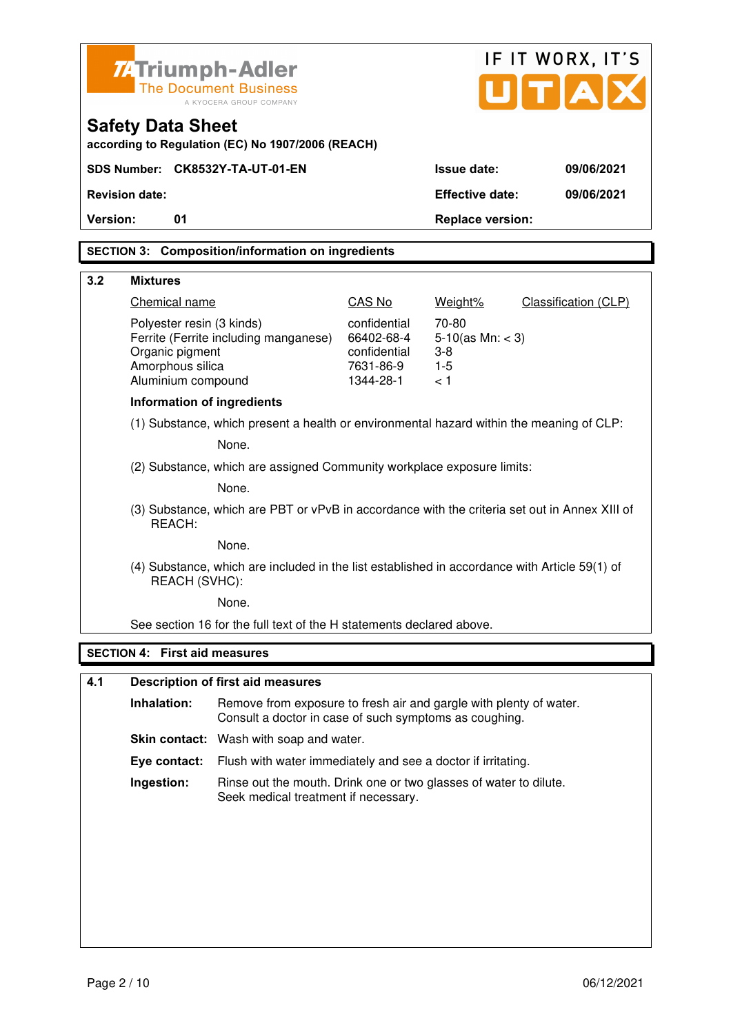|          | <b>74 Triumph-Adler</b>              |                                                                                               |                            |                                | IF IT WORX, IT'S                    |
|----------|--------------------------------------|-----------------------------------------------------------------------------------------------|----------------------------|--------------------------------|-------------------------------------|
|          |                                      | <b>The Document Business</b>                                                                  |                            |                                | $\mathbf{U}[\mathbf{T}[\mathbf{A}]$ |
|          |                                      | A KYOCERA GROUP COMPANY                                                                       |                            |                                |                                     |
|          | <b>Safety Data Sheet</b>             | according to Regulation (EC) No 1907/2006 (REACH)                                             |                            |                                |                                     |
|          |                                      | SDS Number: CK8532Y-TA-UT-01-EN                                                               |                            | <b>Issue date:</b>             | 09/06/2021                          |
|          | <b>Revision date:</b>                |                                                                                               |                            | <b>Effective date:</b>         | 09/06/2021                          |
| Version: | 01                                   |                                                                                               |                            | <b>Replace version:</b>        |                                     |
|          |                                      | <b>SECTION 3: Composition/information on ingredients</b>                                      |                            |                                |                                     |
| 3.2      | <b>Mixtures</b>                      |                                                                                               |                            |                                |                                     |
|          | Chemical name                        |                                                                                               | CAS No                     | Weight%                        | Classification (CLP)                |
|          | Polyester resin (3 kinds)            |                                                                                               | confidential               | 70-80                          |                                     |
|          | Organic pigment                      | Ferrite (Ferrite including manganese)                                                         | 66402-68-4<br>confidential | $5-10$ (as Mn: < 3)<br>$3 - 8$ |                                     |
|          | Amorphous silica                     |                                                                                               | 7631-86-9                  | $1 - 5$                        |                                     |
|          | Aluminium compound                   |                                                                                               | 1344-28-1                  | < 1                            |                                     |
|          | <b>Information of ingredients</b>    |                                                                                               |                            |                                |                                     |
|          |                                      | (1) Substance, which present a health or environmental hazard within the meaning of CLP:      |                            |                                |                                     |
|          |                                      | None.                                                                                         |                            |                                |                                     |
|          |                                      | (2) Substance, which are assigned Community workplace exposure limits:                        |                            |                                |                                     |
|          |                                      | None.                                                                                         |                            |                                |                                     |
|          | REACH:                               | (3) Substance, which are PBT or vPvB in accordance with the criteria set out in Annex XIII of |                            |                                |                                     |
|          |                                      | None.                                                                                         |                            |                                |                                     |
|          | REACH (SVHC):                        | (4) Substance, which are included in the list established in accordance with Article 59(1) of |                            |                                |                                     |
|          |                                      | None.                                                                                         |                            |                                |                                     |
|          |                                      | See section 16 for the full text of the H statements declared above.                          |                            |                                |                                     |
|          | <b>SECTION 4: First aid measures</b> |                                                                                               |                            |                                |                                     |
| 4.1      |                                      | <b>Description of first aid measures</b>                                                      |                            |                                |                                     |
|          | Inhalation:                          | Remove from exposure to fresh air and gargle with plenty of water.                            |                            |                                |                                     |
|          |                                      | Consult a doctor in case of such symptoms as coughing.                                        |                            |                                |                                     |
|          |                                      | Skin contact: Wash with soap and water.                                                       |                            |                                |                                     |
|          | Eye contact:                         | Flush with water immediately and see a doctor if irritating.                                  |                            |                                |                                     |

**Ingestion:** Rinse out the mouth. Drink one or two glasses of water to dilute. Seek medical treatment if necessary.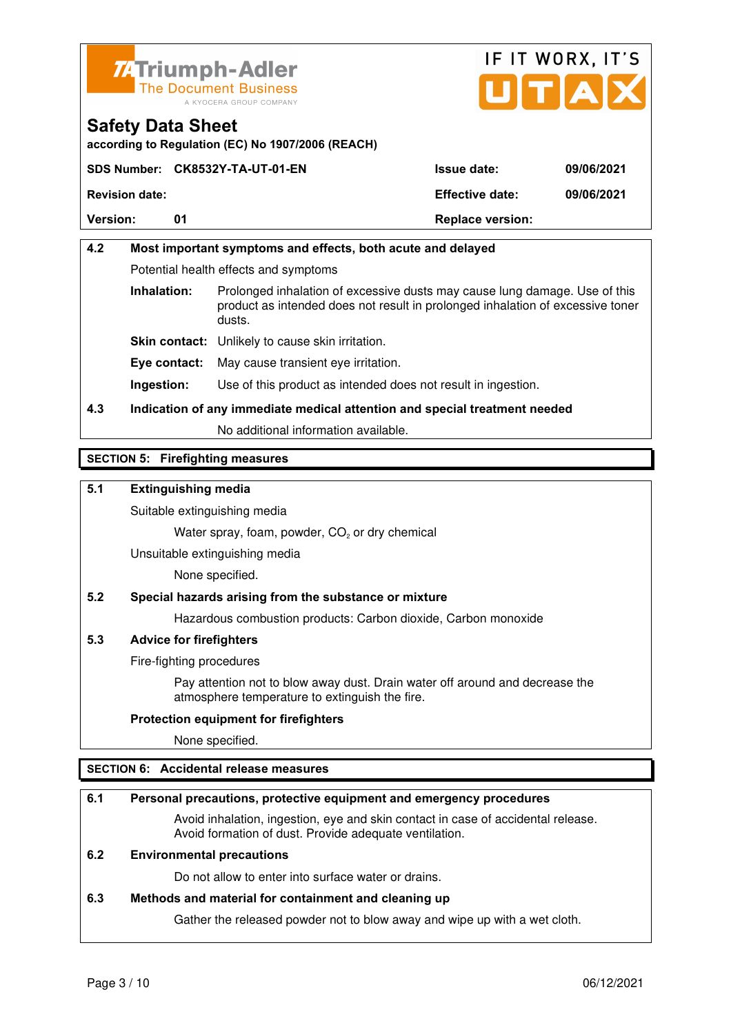



**according to Regulation (EC) No 1907/2006 (REACH)**

|                       | SDS Number: CK8532Y-TA-UT-01-EN | <b>Issue date:</b>      | 09/06/2021 |
|-----------------------|---------------------------------|-------------------------|------------|
| <b>Revision date:</b> |                                 | <b>Effective date:</b>  | 09/06/2021 |
| <b>Version:</b>       |                                 | <b>Replace version:</b> |            |

# **4.2 Most important symptoms and effects, both acute and delayed**  Potential health effects and symptoms **Inhalation:** Prolonged inhalation of excessive dusts may cause lung damage. Use of this product as intended does not result in prolonged inhalation of excessive toner dusts. **Skin contact:** Unlikely to cause skin irritation. **Eye contact:** May cause transient eye irritation.

**Ingestion:** Use of this product as intended does not result in ingestion.

# **4.3 Indication of any immediate medical attention and special treatment needed**

No additional information available.

### **SECTION 5: Firefighting measures**

#### **5.1 Extinguishing media**

Suitable extinguishing media

Water spray, foam, powder,  $CO<sub>2</sub>$  or dry chemical

Unsuitable extinguishing media

None specified.

#### **5.2 Special hazards arising from the substance or mixture**

Hazardous combustion products: Carbon dioxide, Carbon monoxide

#### **5.3 Advice for firefighters**

Fire-fighting procedures

 Pay attention not to blow away dust. Drain water off around and decrease the atmosphere temperature to extinguish the fire.

#### **Protection equipment for firefighters**

None specified.

#### **SECTION 6: Accidental release measures**

#### **6.1 Personal precautions, protective equipment and emergency procedures**

 Avoid inhalation, ingestion, eye and skin contact in case of accidental release. Avoid formation of dust. Provide adequate ventilation.

#### **6.2 Environmental precautions**

Do not allow to enter into surface water or drains.

#### **6.3 Methods and material for containment and cleaning up**

Gather the released powder not to blow away and wipe up with a wet cloth.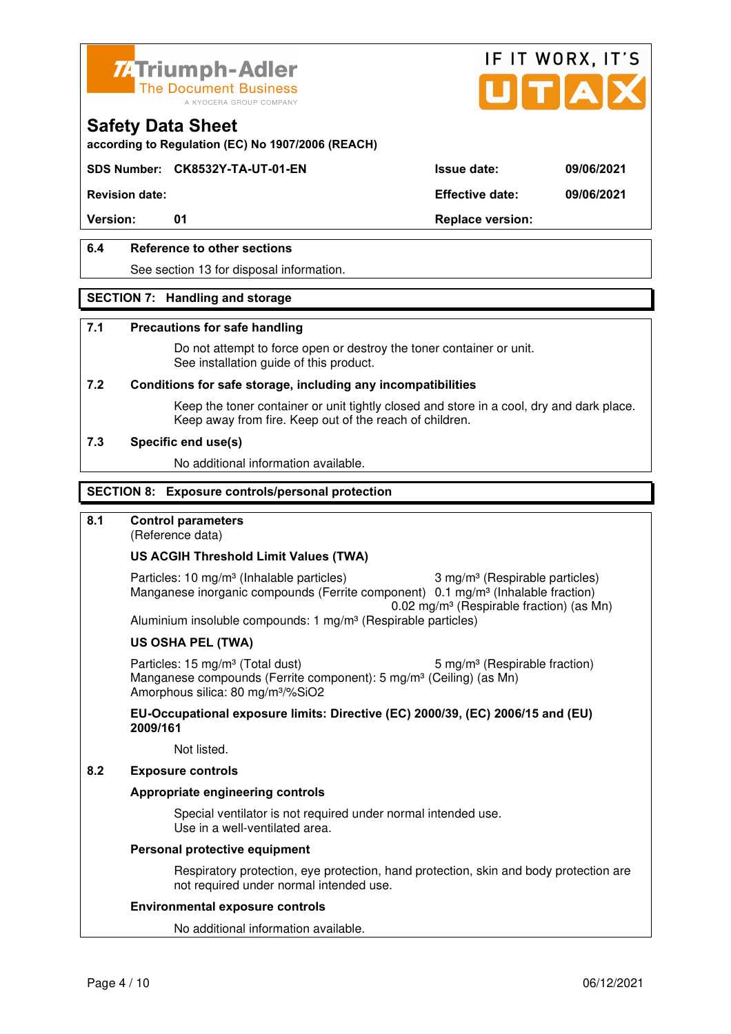



**according to Regulation (EC) No 1907/2006 (REACH)**

### **SDS Number: CK8532Y-TA-UT-01-EN Issue date: 09/06/2021**

**Revision date: Effective date: 09/06/2021** 

Version: 01 01 **Replace version:** 

### **6.4 Reference to other sections**

See section 13 for disposal information.

#### **SECTION 7: Handling and storage**

#### **7.1 Precautions for safe handling**

 Do not attempt to force open or destroy the toner container or unit. See installation guide of this product.

#### **7.2 Conditions for safe storage, including any incompatibilities**

Keep the toner container or unit tightly closed and store in a cool, dry and dark place. Keep away from fire. Keep out of the reach of children.

#### **7.3 Specific end use(s)**

No additional information available.

#### **SECTION 8: Exposure controls/personal protection**

### **8.1 Control parameters**

(Reference data)

#### **US ACGIH Threshold Limit Values (TWA)**

Particles: 10 mg/m<sup>3</sup> (Inhalable particles) 3 mg/m<sup>3</sup> (Respirable particles) Manganese inorganic compounds (Ferrite component) 0.1 mg/m<sup>3</sup> (Inhalable fraction) 0.02 mg/m³ (Respirable fraction) (as Mn) Aluminium insoluble compounds: 1 mg/m<sup>3</sup> (Respirable particles)

#### **US OSHA PEL (TWA)**

Particles: 15 mg/m<sup>3</sup> (Total dust) 5 mg/m<sup>3</sup> (Respirable fraction) Manganese compounds (Ferrite component): 5 mg/m<sup>3</sup> (Ceiling) (as Mn) Amorphous silica: 80 mg/m³/%SiO2

**EU-Occupational exposure limits: Directive (EC) 2000/39, (EC) 2006/15 and (EU) 2009/161**

Not listed.

#### **8.2 Exposure controls**

#### **Appropriate engineering controls**

 Special ventilator is not required under normal intended use. Use in a well-ventilated area.

#### **Personal protective equipment**

 Respiratory protection, eye protection, hand protection, skin and body protection are not required under normal intended use.

#### **Environmental exposure controls**

No additional information available.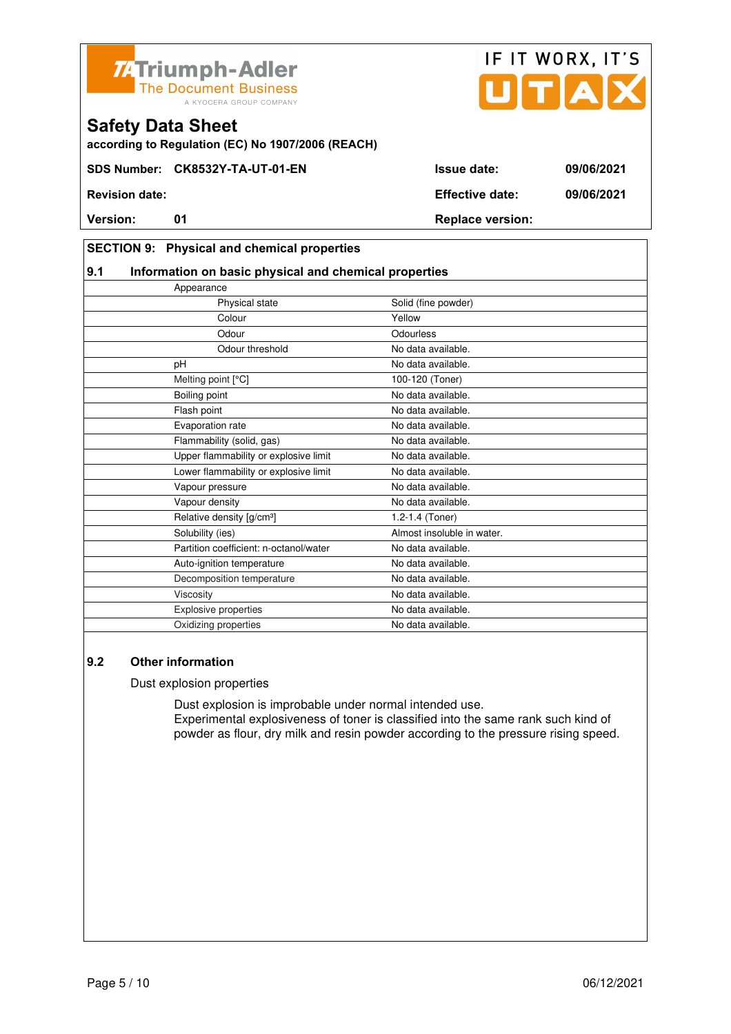



#### **SECTION 9: Physical and chemical properties**

#### **9.1 Information on basic physical and chemical properties**

| Appearance                             |                            |
|----------------------------------------|----------------------------|
| Physical state                         | Solid (fine powder)        |
| Colour                                 | Yellow                     |
| Odour                                  | Odourless                  |
| Odour threshold                        | No data available.         |
| pH                                     | No data available.         |
| Melting point [°C]                     | 100-120 (Toner)            |
| Boiling point                          | No data available.         |
| Flash point                            | No data available.         |
| Evaporation rate                       | No data available.         |
| Flammability (solid, gas)              | No data available.         |
| Upper flammability or explosive limit  | No data available.         |
| Lower flammability or explosive limit  | No data available.         |
| Vapour pressure                        | No data available.         |
| Vapour density                         | No data available.         |
| Relative density [g/cm <sup>3</sup> ]  | 1.2-1.4 (Toner)            |
| Solubility (ies)                       | Almost insoluble in water. |
| Partition coefficient: n-octanol/water | No data available.         |
| Auto-ignition temperature              | No data available.         |
| Decomposition temperature              | No data available.         |
| Viscosity                              | No data available.         |
| <b>Explosive properties</b>            | No data available.         |
| Oxidizing properties                   | No data available.         |

### **9.2 Other information**

#### Dust explosion properties

 Dust explosion is improbable under normal intended use. Experimental explosiveness of toner is classified into the same rank such kind of powder as flour, dry milk and resin powder according to the pressure rising speed.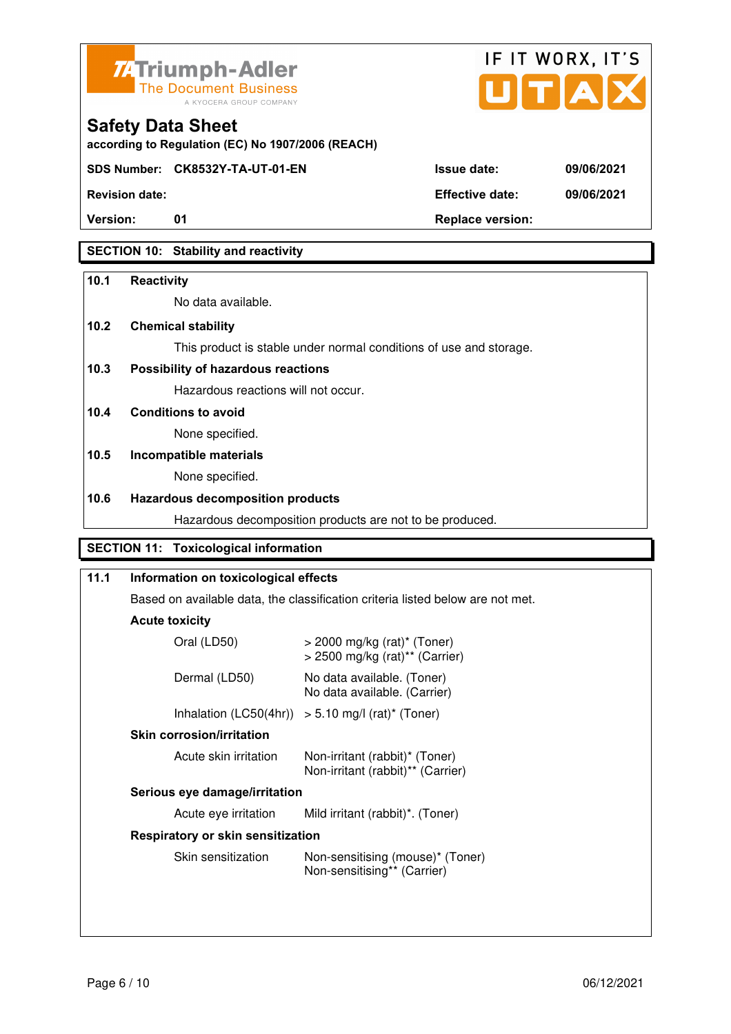



| <b>Safety Data Sheet</b> |  |
|--------------------------|--|
|--------------------------|--|

**SDS Number: CK8532Y-TA-UT-01-EN Issue date: 09/06/2021** 

**Revision date: Effective date: 09/06/2021** 

**Version:** 01 **Depending to 201 Replace version:** 

# **SECTION 10: Stability and reactivity**

### **10.1 Reactivity**

No data available.

# **10.2 Chemical stability**

This product is stable under normal conditions of use and storage.

# **10.3 Possibility of hazardous reactions**

Hazardous reactions will not occur.

**10.4 Conditions to avoid** 

None specified.

# **10.5 Incompatible materials**

None specified.

### **10.6 Hazardous decomposition products**

Hazardous decomposition products are not to be produced.

# **SECTION 11: Toxicological information**

# **11.1 Information on toxicological effects**  Based on available data, the classification criteria listed below are not met. **Acute toxicity** Oral (LD50) > 2000 mg/kg (rat)\* (Toner) > 2500 mg/kg (rat)\*\* (Carrier) Dermal (LD50) No data available. (Toner) No data available. (Carrier) Inhalation  $(LC50(4hr)) > 5.10$  mg/l  $(rat)^*$  (Toner)  **Skin corrosion/irritation** Acute skin irritation Non-irritant (rabbit)\* (Toner) Non-irritant (rabbit)\*\* (Carrier)  **Serious eye damage/irritation** Acute eye irritation Mild irritant (rabbit)\*. (Toner)  **Respiratory or skin sensitization**  Skin sensitization Mon-sensitising (mouse)\* (Toner) Non-sensitising\*\* (Carrier)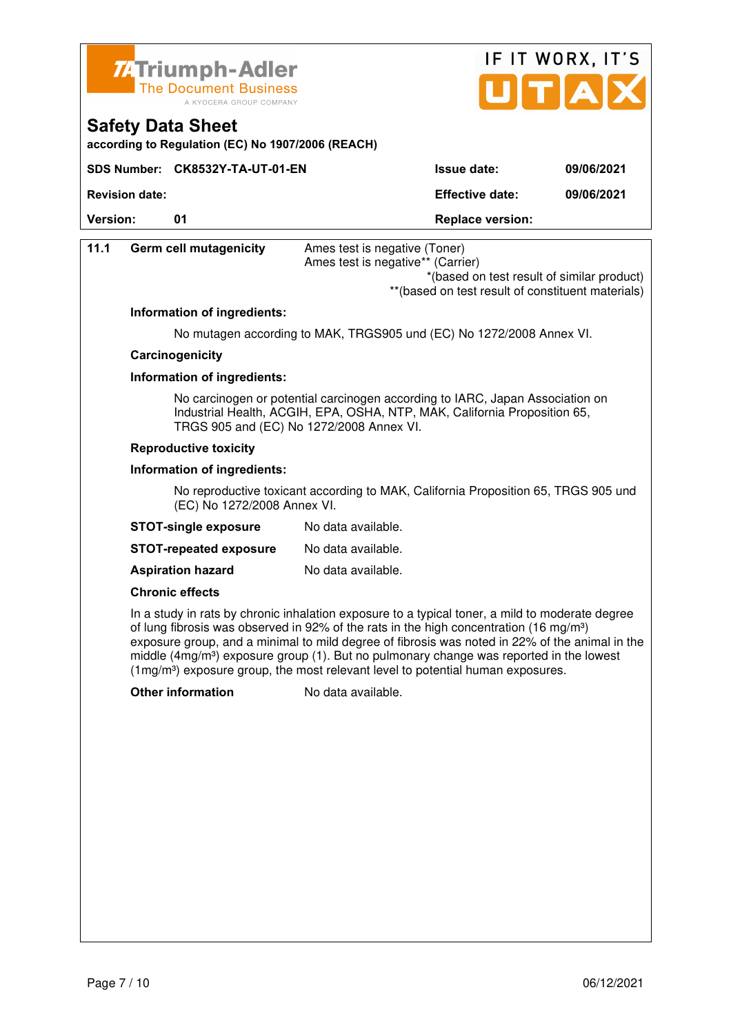

**Safety Data Sheet** 



**Version:** 01 **Depending to 201 Replace version: 11.1 Germ cell mutagenicity** Ames test is negative (Toner) Ames test is negative\*\* (Carrier) \*(based on test result of similar product) \*\*(based on test result of constituent materials) **Information of ingredients:**  No mutagen according to MAK, TRGS905 und (EC) No 1272/2008 Annex VI.  **Carcinogenicity Information of ingredients:**  No carcinogen or potential carcinogen according to IARC, Japan Association on Industrial Health, ACGIH, EPA, OSHA, NTP, MAK, California Proposition 65, TRGS 905 and (EC) No 1272/2008 Annex VI.  **Reproductive toxicity Information of ingredients:**  No reproductive toxicant according to MAK, California Proposition 65, TRGS 905 und (EC) No 1272/2008 Annex VI. **STOT-single exposure** No data available. **STOT-repeated exposure** No data available. **Aspiration hazard** No data available.  **Chronic effects** In a study in rats by chronic inhalation exposure to a typical toner, a mild to moderate degree of lung fibrosis was observed in 92% of the rats in the high concentration (16 mg/m<sup>3</sup>) exposure group, and a minimal to mild degree of fibrosis was noted in 22% of the animal in the middle (4mg/m<sup>3</sup>) exposure group (1). But no pulmonary change was reported in the lowest (1mg/m³) exposure group, the most relevant level to potential human exposures. **Other information** No data available.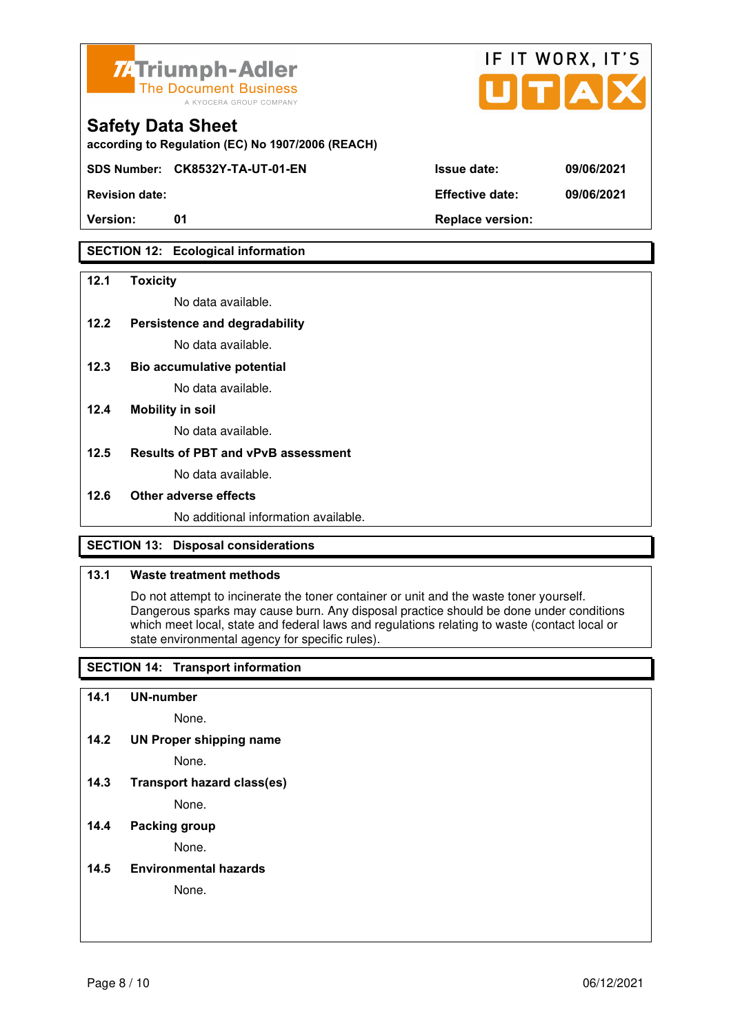



**SDS Number: CK8532Y-TA-UT-01-EN Issue date: 09/06/2021** 

**Revision date: Effective date: 09/06/2021** 

# **SECTION 12: Ecological information**

#### **12.1 Toxicity**

No data available.

#### **12.2 Persistence and degradability**

No data available.

**12.3 Bio accumulative potential** 

No data available.

#### **12.4 Mobility in soil**

No data available.

#### **12.5 Results of PBT and vPvB assessment**

No data available.

#### **12.6 Other adverse effects**

No additional information available.

# **SECTION 13: Disposal considerations**

#### **13.1 Waste treatment methods**

 Do not attempt to incinerate the toner container or unit and the waste toner yourself. Dangerous sparks may cause burn. Any disposal practice should be done under conditions which meet local, state and federal laws and regulations relating to waste (contact local or state environmental agency for specific rules).

# **SECTION 14: Transport information**

#### **14.1 UN-number**

None.

**14.2 UN Proper shipping name** 

None.

**14.3 Transport hazard class(es)** 

None.

### **14.4 Packing group**

None.

**14.5 Environmental hazards** 

None.

| ue date: | 09/06 |
|----------|-------|
|          |       |

IF IT WORX, IT'S

Version: 01 01 **Replace version:**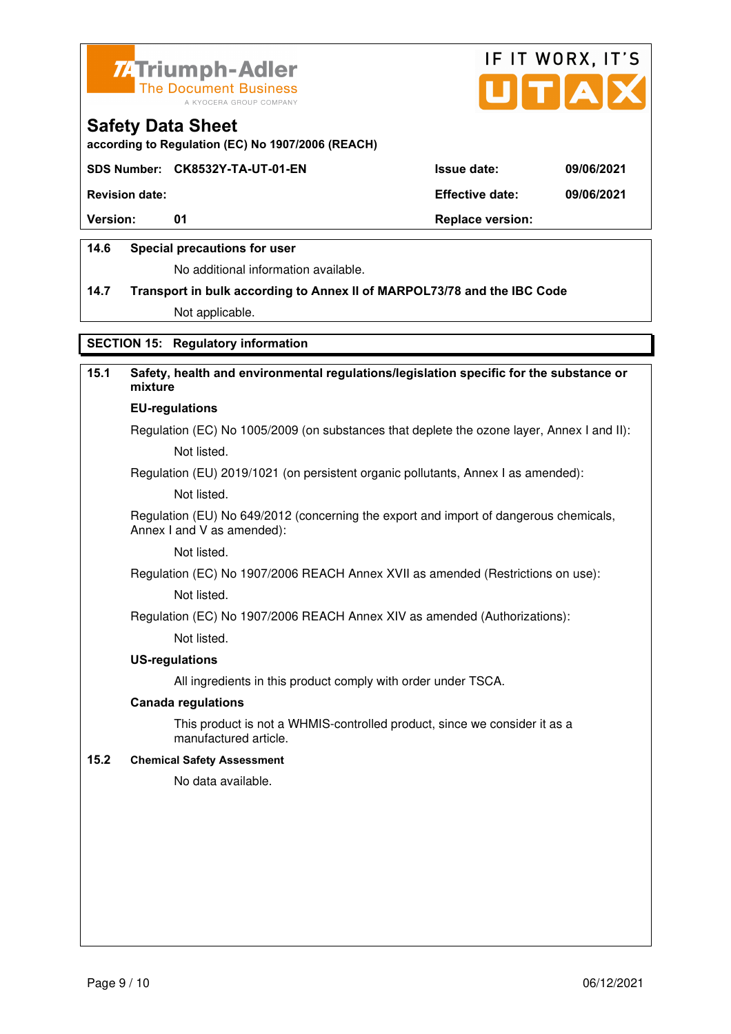



**according to Regulation (EC) No 1907/2006 (REACH)**

### **SDS Number: CK8532Y-TA-UT-01-EN Issue date: 09/06/2021**

**Revision date: Effective date: 09/06/2021** 

**Version:** 01 **Depending to 201 Replace version:** 

### **14.6 Special precautions for user**

No additional information available.

# **14.7 Transport in bulk according to Annex II of MARPOL73/78 and the IBC Code**

Not applicable.

### **SECTION 15: Regulatory information**

# **15.1 Safety, health and environmental regulations/legislation specific for the substance or mixture**

# **EU-regulations**

Regulation (EC) No 1005/2009 (on substances that deplete the ozone layer, Annex I and II): Not listed.

Regulation (EU) 2019/1021 (on persistent organic pollutants, Annex I as amended):

Not listed.

 Regulation (EU) No 649/2012 (concerning the export and import of dangerous chemicals, Annex I and V as amended):

Not listed.

 Regulation (EC) No 1907/2006 REACH Annex XVII as amended (Restrictions on use): Not listed.

Regulation (EC) No 1907/2006 REACH Annex XIV as amended (Authorizations):

Not listed.

#### **US-regulations**

All ingredients in this product comply with order under TSCA.

#### **Canada regulations**

 This product is not a WHMIS-controlled product, since we consider it as a manufactured article.

#### **15.2 Chemical Safety Assessment**

No data available.